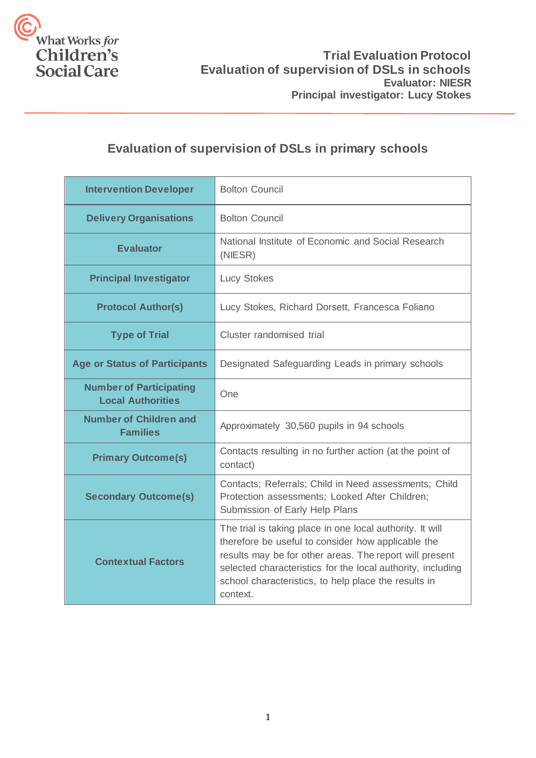

## **Evaluation of supervision of DSLs in primary schools**

| <b>Intervention Developer</b>                              | <b>Bolton Council</b>                                                                                                                                                                                                                                                                                         |
|------------------------------------------------------------|---------------------------------------------------------------------------------------------------------------------------------------------------------------------------------------------------------------------------------------------------------------------------------------------------------------|
| <b>Delivery Organisations</b>                              | <b>Bolton Council</b>                                                                                                                                                                                                                                                                                         |
| <b>Evaluator</b>                                           | National Institute of Economic and Social Research<br>(NIESR)                                                                                                                                                                                                                                                 |
| <b>Principal Investigator</b>                              | <b>Lucy Stokes</b>                                                                                                                                                                                                                                                                                            |
| <b>Protocol Author(s)</b>                                  | Lucy Stokes, Richard Dorsett, Francesca Foliano                                                                                                                                                                                                                                                               |
| <b>Type of Trial</b>                                       | Cluster randomised trial                                                                                                                                                                                                                                                                                      |
| <b>Age or Status of Participants</b>                       | Designated Safeguarding Leads in primary schools                                                                                                                                                                                                                                                              |
| <b>Number of Participating</b><br><b>Local Authorities</b> | One                                                                                                                                                                                                                                                                                                           |
| <b>Number of Children and</b><br><b>Families</b>           | Approximately 30,560 pupils in 94 schools                                                                                                                                                                                                                                                                     |
| <b>Primary Outcome(s)</b>                                  | Contacts resulting in no further action (at the point of<br>contact)                                                                                                                                                                                                                                          |
| <b>Secondary Outcome(s)</b>                                | Contacts; Referrals; Child in Need assessments; Child<br>Protection assessments; Looked After Children;<br>Submission of Early Help Plans                                                                                                                                                                     |
| <b>Contextual Factors</b>                                  | The trial is taking place in one local authority. It will<br>therefore be useful to consider how applicable the<br>results may be for other areas. The report will present<br>selected characteristics for the local authority, including<br>school characteristics, to help place the results in<br>context. |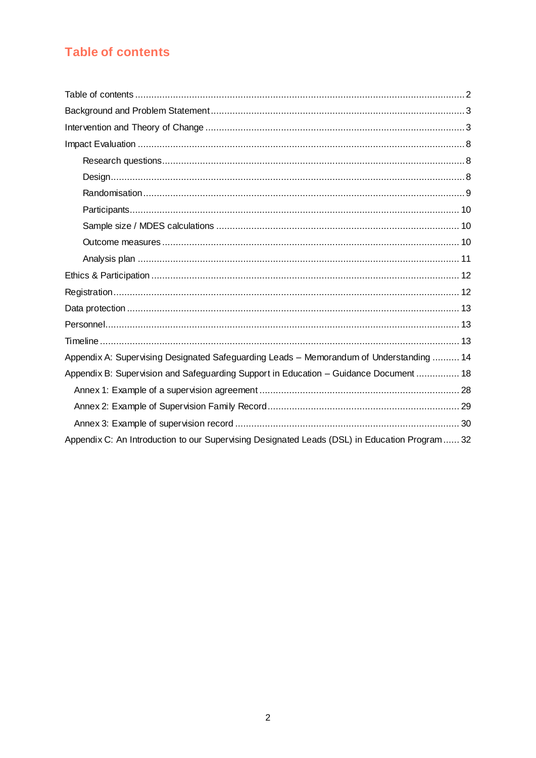# <span id="page-1-0"></span>**Table of contents**

| Appendix A: Supervising Designated Safeguarding Leads - Memorandum of Understanding  14       |
|-----------------------------------------------------------------------------------------------|
| Appendix B: Supervision and Safeguarding Support in Education - Guidance Document  18         |
|                                                                                               |
|                                                                                               |
|                                                                                               |
| Appendix C: An Introduction to our Supervising Designated Leads (DSL) in Education Program 32 |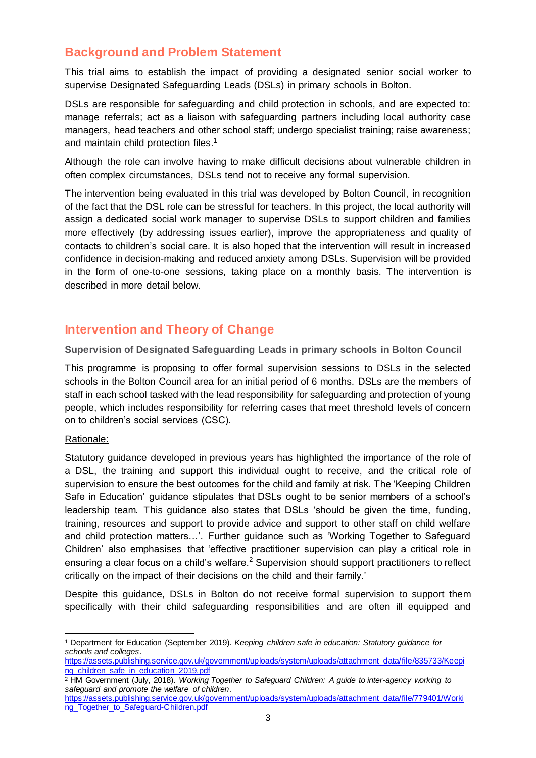## <span id="page-2-0"></span>**Background and Problem Statement**

This trial aims to establish the impact of providing a designated senior social worker to supervise Designated Safeguarding Leads (DSLs) in primary schools in Bolton.

DSLs are responsible for safeguarding and child protection in schools, and are expected to: manage referrals; act as a liaison with safeguarding partners including local authority case managers, head teachers and other school staff; undergo specialist training; raise awareness; and maintain child protection files.<sup>1</sup>

Although the role can involve having to make difficult decisions about vulnerable children in often complex circumstances, DSLs tend not to receive any formal supervision.

The intervention being evaluated in this trial was developed by Bolton Council, in recognition of the fact that the DSL role can be stressful for teachers. In this project, the local authority will assign a dedicated social work manager to supervise DSLs to support children and families more effectively (by addressing issues earlier), improve the appropriateness and quality of contacts to children's social care. It is also hoped that the intervention will result in increased confidence in decision-making and reduced anxiety among DSLs. Supervision will be provided in the form of one-to-one sessions, taking place on a monthly basis. The intervention is described in more detail below.

## <span id="page-2-1"></span>**Intervention and Theory of Change**

**Supervision of Designated Safeguarding Leads in primary schools in Bolton Council**

This programme is proposing to offer formal supervision sessions to DSLs in the selected schools in the Bolton Council area for an initial period of 6 months. DSLs are the members of staff in each school tasked with the lead responsibility for safeguarding and protection of young people, which includes responsibility for referring cases that meet threshold levels of concern on to children's social services (CSC).

### Rationale:

l

Statutory guidance developed in previous years has highlighted the importance of the role of a DSL, the training and support this individual ought to receive, and the critical role of supervision to ensure the best outcomes for the child and family at risk. The 'Keeping Children Safe in Education' guidance stipulates that DSLs ought to be senior members of a school's leadership team. This guidance also states that DSLs 'should be given the time, funding, training, resources and support to provide advice and support to other staff on child welfare and child protection matters…'. Further guidance such as 'Working Together to Safeguard Children' also emphasises that 'effective practitioner supervision can play a critical role in ensuring a clear focus on a child's welfare.<sup>2</sup> Supervision should support practitioners to reflect critically on the impact of their decisions on the child and their family.'

Despite this guidance, DSLs in Bolton do not receive formal supervision to support them specifically with their child safeguarding responsibilities and are often ill equipped and

<sup>1</sup> Department for Education (September 2019). *Keeping children safe in education: Statutory guidance for schools and colleges*.

[https://assets.publishing.service.gov.uk/government/uploads/system/uploads/attachment\\_data/file/835733/Keepi](https://assets.publishing.service.gov.uk/government/uploads/system/uploads/attachment_data/file/835733/Keeping_children_safe_in_education_2019.pdf) [ng\\_children\\_safe\\_in\\_education\\_2019.pdf](https://assets.publishing.service.gov.uk/government/uploads/system/uploads/attachment_data/file/835733/Keeping_children_safe_in_education_2019.pdf)

<sup>2</sup> HM Government (July, 2018). *Working Together to Safeguard Children: A guide to inter-agency working to safeguard and promote the welfare of children*.

[https://assets.publishing.service.gov.uk/government/uploads/system/uploads/attachment\\_data/file/779401/Worki](https://assets.publishing.service.gov.uk/government/uploads/system/uploads/attachment_data/file/779401/Working_Together_to_Safeguard-Children.pdf) [ng\\_Together\\_to\\_Safeguard-Children.pdf](https://assets.publishing.service.gov.uk/government/uploads/system/uploads/attachment_data/file/779401/Working_Together_to_Safeguard-Children.pdf)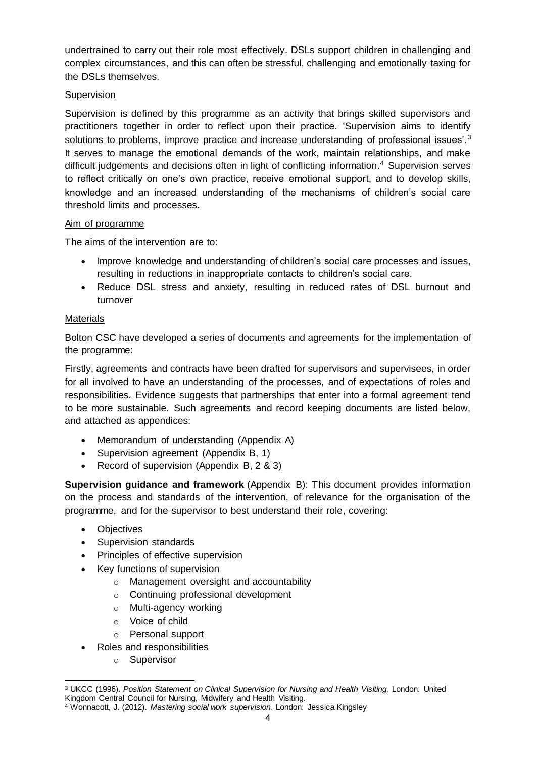undertrained to carry out their role most effectively. DSLs support children in challenging and complex circumstances, and this can often be stressful, challenging and emotionally taxing for the DSLs themselves.

## **Supervision**

Supervision is defined by this programme as an activity that brings skilled supervisors and practitioners together in order to reflect upon their practice. 'Supervision aims to identify solutions to problems, improve practice and increase understanding of professional issues'. $3$ It serves to manage the emotional demands of the work, maintain relationships, and make difficult judgements and decisions often in light of conflicting information. <sup>4</sup> Supervision serves to reflect critically on one's own practice, receive emotional support, and to develop skills, knowledge and an increased understanding of the mechanisms of children's social care threshold limits and processes.

### Aim of programme

The aims of the intervention are to:

- Improve knowledge and understanding of children's social care processes and issues, resulting in reductions in inappropriate contacts to children's social care.
- Reduce DSL stress and anxiety, resulting in reduced rates of DSL burnout and turnover

## **Materials**

Bolton CSC have developed a series of documents and agreements for the implementation of the programme:

Firstly, agreements and contracts have been drafted for supervisors and supervisees, in order for all involved to have an understanding of the processes, and of expectations of roles and responsibilities. Evidence suggests that partnerships that enter into a formal agreement tend to be more sustainable. Such agreements and record keeping documents are listed below, and attached as appendices:

- Memorandum of understanding (Appendix A)
- Supervision agreement (Appendix B, 1)
- Record of supervision (Appendix B, 2 & 3)

**Supervision guidance and framework** (Appendix B): This document provides information on the process and standards of the intervention, of relevance for the organisation of the programme, and for the supervisor to best understand their role, covering:

- Objectives
- Supervision standards
- Principles of effective supervision
- Key functions of supervision
	- o Management oversight and accountability
	- o Continuing professional development
	- o Multi-agency working
	- o Voice of child
	- o Personal support
- Roles and responsibilities
	- o Supervisor

 $\overline{a}$ <sup>3</sup> UKCC (1996). *Position Statement on Clinical Supervision for Nursing and Health Visiting.* London: United Kingdom Central Council for Nursing, Midwifery and Health Visiting.

<sup>4</sup> Wonnacott, J. (2012). *Mastering social work supervision*. London: Jessica Kingsley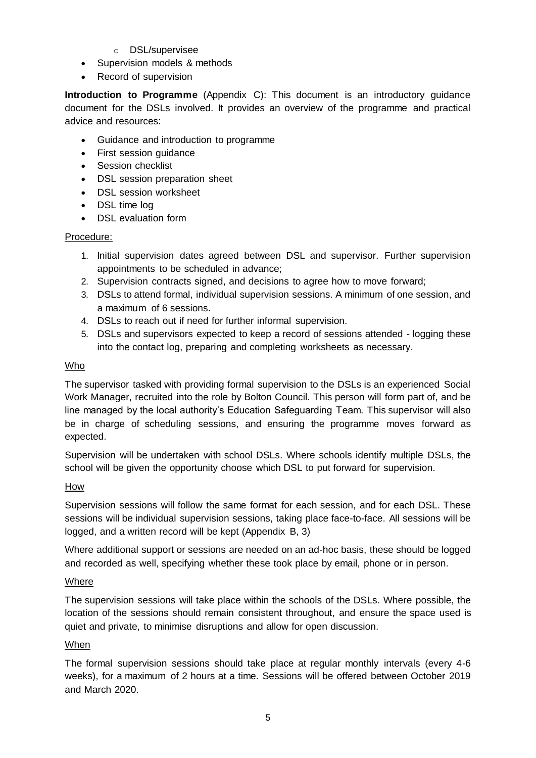- o DSL/supervisee
- Supervision models & methods
- Record of supervision

**Introduction to Programme** (Appendix C): This document is an introductory guidance document for the DSLs involved. It provides an overview of the programme and practical advice and resources:

- Guidance and introduction to programme
- First session guidance
- Session checklist
- DSL session preparation sheet
- DSL session worksheet
- DSL time log
- DSL evaluation form

#### Procedure:

- 1. Initial supervision dates agreed between DSL and supervisor. Further supervision appointments to be scheduled in advance;
- 2. Supervision contracts signed, and decisions to agree how to move forward;
- 3. DSLs to attend formal, individual supervision sessions. A minimum of one session, and a maximum of 6 sessions.
- 4. DSLs to reach out if need for further informal supervision.
- 5. DSLs and supervisors expected to keep a record of sessions attended logging these into the contact log, preparing and completing worksheets as necessary.

### Who

The supervisor tasked with providing formal supervision to the DSLs is an experienced Social Work Manager, recruited into the role by Bolton Council. This person will form part of, and be line managed by the local authority's Education Safeguarding Team. This supervisor will also be in charge of scheduling sessions, and ensuring the programme moves forward as expected.

Supervision will be undertaken with school DSLs. Where schools identify multiple DSLs, the school will be given the opportunity choose which DSL to put forward for supervision.

### **How**

Supervision sessions will follow the same format for each session, and for each DSL. These sessions will be individual supervision sessions, taking place face-to-face. All sessions will be logged, and a written record will be kept (Appendix B, 3)

Where additional support or sessions are needed on an ad-hoc basis, these should be logged and recorded as well, specifying whether these took place by email, phone or in person.

### Where

The supervision sessions will take place within the schools of the DSLs. Where possible, the location of the sessions should remain consistent throughout, and ensure the space used is quiet and private, to minimise disruptions and allow for open discussion.

### When

The formal supervision sessions should take place at regular monthly intervals (every 4-6 weeks), for a maximum of 2 hours at a time. Sessions will be offered between October 2019 and March 2020.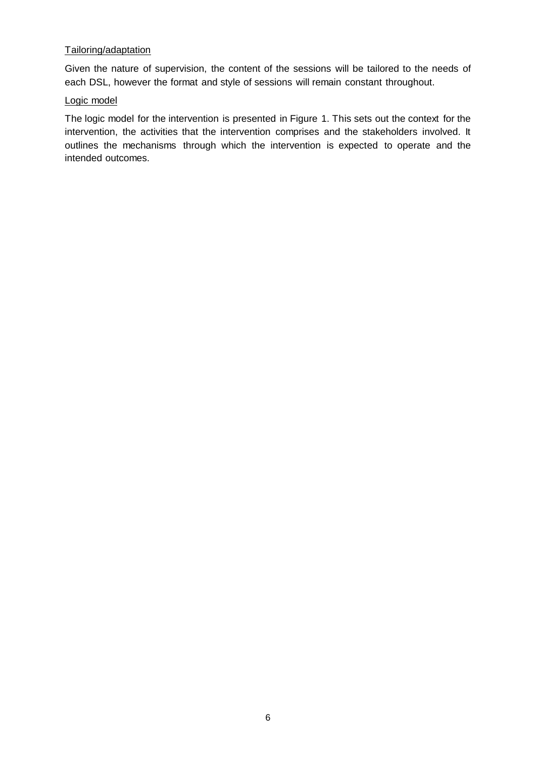## Tailoring/adaptation

Given the nature of supervision, the content of the sessions will be tailored to the needs of each DSL, however the format and style of sessions will remain constant throughout.

#### Logic model

The logic model for the intervention is presented in Figure 1. This sets out the context for the intervention, the activities that the intervention comprises and the stakeholders involved. It outlines the mechanisms through which the intervention is expected to operate and the intended outcomes.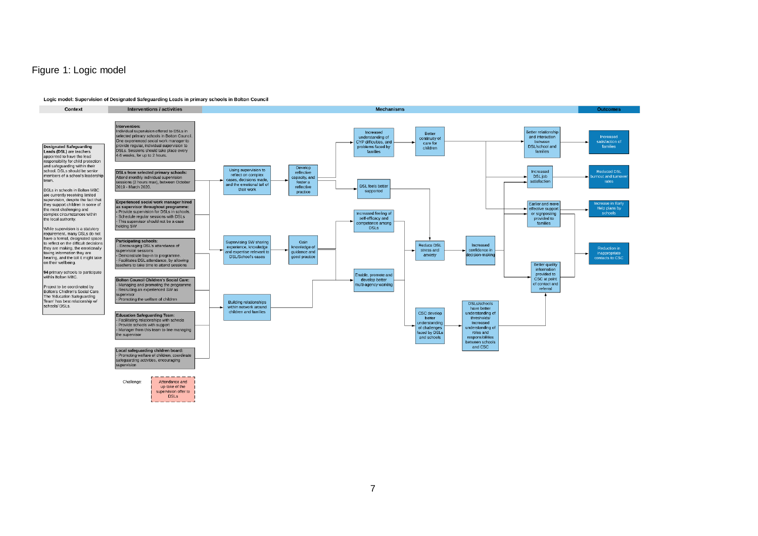### Figure 1: Logic model

#### Logic model: Supervision of Designated Safeguarding Leads in primary schools in Bolton Council

**DSLs** 



7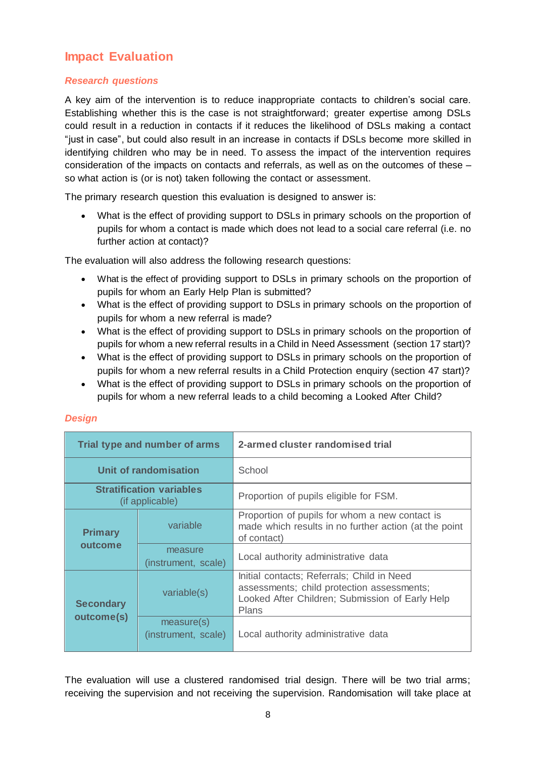## <span id="page-7-0"></span>**Impact Evaluation**

## <span id="page-7-1"></span>*Research questions*

A key aim of the intervention is to reduce inappropriate contacts to children's social care. Establishing whether this is the case is not straightforward; greater expertise among DSLs could result in a reduction in contacts if it reduces the likelihood of DSLs making a contact "just in case", but could also result in an increase in contacts if DSLs become more skilled in identifying children who may be in need. To assess the impact of the intervention requires consideration of the impacts on contacts and referrals, as well as on the outcomes of these – so what action is (or is not) taken following the contact or assessment.

The primary research question this evaluation is designed to answer is:

 What is the effect of providing support to DSLs in primary schools on the proportion of pupils for whom a contact is made which does not lead to a social care referral (i.e. no further action at contact)?

The evaluation will also address the following research questions:

- What is the effect of providing support to DSLs in primary schools on the proportion of pupils for whom an Early Help Plan is submitted?
- What is the effect of providing support to DSLs in primary schools on the proportion of pupils for whom a new referral is made?
- What is the effect of providing support to DSLs in primary schools on the proportion of pupils for whom a new referral results in a Child in Need Assessment (section 17 start)?
- What is the effect of providing support to DSLs in primary schools on the proportion of pupils for whom a new referral results in a Child Protection enquiry (section 47 start)?
- What is the effect of providing support to DSLs in primary schools on the proportion of pupils for whom a new referral leads to a child becoming a Looked After Child?

### <span id="page-7-2"></span>*Design*

| Trial type and number of arms                      |                                   | 2-armed cluster randomised trial                                                                                                                            |  |
|----------------------------------------------------|-----------------------------------|-------------------------------------------------------------------------------------------------------------------------------------------------------------|--|
| Unit of randomisation                              |                                   | School                                                                                                                                                      |  |
| <b>Stratification variables</b><br>(if applicable) |                                   | Proportion of pupils eligible for FSM.                                                                                                                      |  |
| <b>Primary</b>                                     | variable                          | Proportion of pupils for whom a new contact is<br>made which results in no further action (at the point<br>of contact)                                      |  |
| outcome                                            | measure<br>(instrument, scale)    | Local authority administrative data                                                                                                                         |  |
| <b>Secondary</b><br>outcome(s)                     | variable(s)                       | Initial contacts; Referrals; Child in Need<br>assessments; child protection assessments;<br>Looked After Children; Submission of Early Help<br><b>Plans</b> |  |
|                                                    | measure(s)<br>(instrument, scale) | Local authority administrative data                                                                                                                         |  |

The evaluation will use a clustered randomised trial design. There will be two trial arms; receiving the supervision and not receiving the supervision. Randomisation will take place at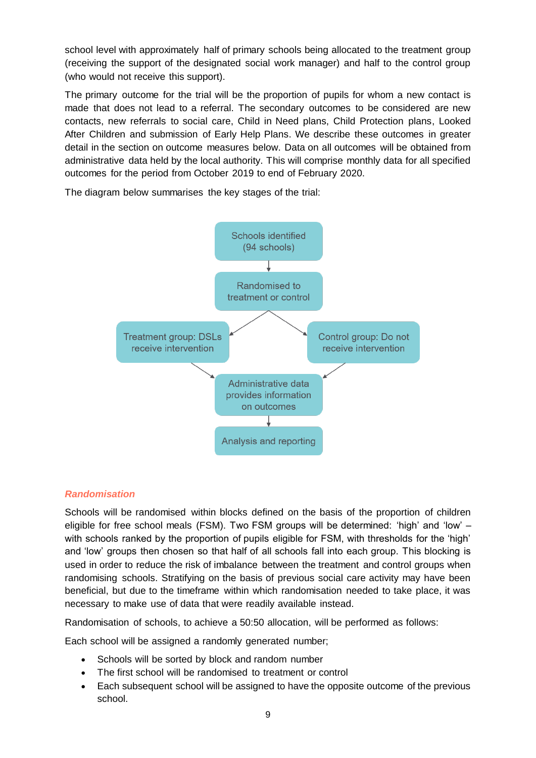school level with approximately half of primary schools being allocated to the treatment group (receiving the support of the designated social work manager) and half to the control group (who would not receive this support).

The primary outcome for the trial will be the proportion of pupils for whom a new contact is made that does not lead to a referral. The secondary outcomes to be considered are new contacts, new referrals to social care, Child in Need plans, Child Protection plans, Looked After Children and submission of Early Help Plans. We describe these outcomes in greater detail in the section on outcome measures below. Data on all outcomes will be obtained from administrative data held by the local authority. This will comprise monthly data for all specified outcomes for the period from October 2019 to end of February 2020.

The diagram below summarises the key stages of the trial:



### <span id="page-8-0"></span>*Randomisation*

Schools will be randomised within blocks defined on the basis of the proportion of children eligible for free school meals (FSM). Two FSM groups will be determined: 'high' and 'low' – with schools ranked by the proportion of pupils eligible for FSM, with thresholds for the 'high' and 'low' groups then chosen so that half of all schools fall into each group. This blocking is used in order to reduce the risk of imbalance between the treatment and control groups when randomising schools. Stratifying on the basis of previous social care activity may have been beneficial, but due to the timeframe within which randomisation needed to take place, it was necessary to make use of data that were readily available instead.

Randomisation of schools, to achieve a 50:50 allocation, will be performed as follows:

Each school will be assigned a randomly generated number;

- Schools will be sorted by block and random number
- The first school will be randomised to treatment or control
- Each subsequent school will be assigned to have the opposite outcome of the previous school.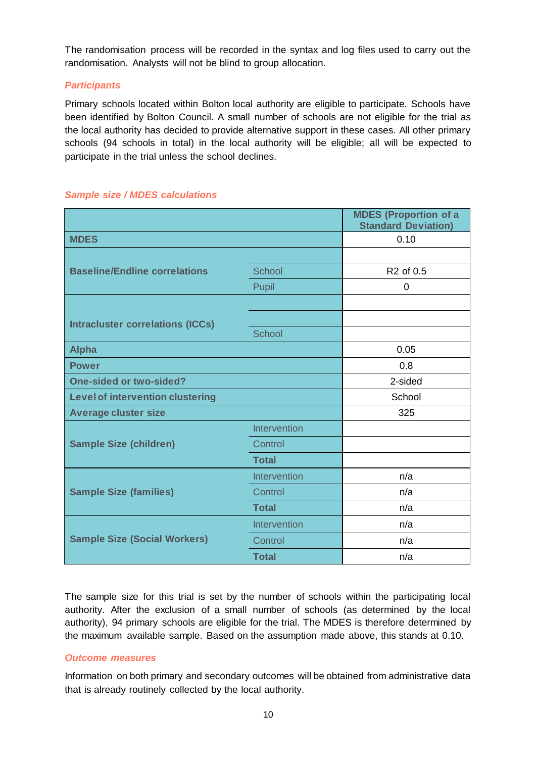The randomisation process will be recorded in the syntax and log files used to carry out the randomisation. Analysts will not be blind to group allocation.

### <span id="page-9-0"></span>*Participants*

Primary schools located within Bolton local authority are eligible to participate. Schools have been identified by Bolton Council. A small number of schools are not eligible for the trial as the local authority has decided to provide alternative support in these cases. All other primary schools (94 schools in total) in the local authority will be eligible; all will be expected to participate in the trial unless the school declines.

|                                         |                     | <b>MDES (Proportion of a</b><br><b>Standard Deviation)</b> |
|-----------------------------------------|---------------------|------------------------------------------------------------|
| <b>MDES</b>                             |                     | 0.10                                                       |
|                                         |                     |                                                            |
| <b>Baseline/Endline correlations</b>    | School              | R <sub>2</sub> of 0.5                                      |
|                                         | Pupil               | 0                                                          |
|                                         |                     |                                                            |
| <b>Intracluster correlations (ICCs)</b> |                     |                                                            |
|                                         | <b>School</b>       |                                                            |
| <b>Alpha</b>                            |                     | 0.05                                                       |
| <b>Power</b>                            |                     | 0.8                                                        |
| <b>One-sided or two-sided?</b>          |                     | 2-sided                                                    |
| <b>Level of intervention clustering</b> |                     | School                                                     |
| <b>Average cluster size</b>             |                     | 325                                                        |
|                                         | <b>Intervention</b> |                                                            |
| <b>Sample Size (children)</b>           | Control             |                                                            |
|                                         | <b>Total</b>        |                                                            |
|                                         | Intervention        | n/a                                                        |
| <b>Sample Size (families)</b>           | Control             | n/a                                                        |
|                                         | <b>Total</b>        | n/a                                                        |
|                                         | <b>Intervention</b> | n/a                                                        |
| <b>Sample Size (Social Workers)</b>     | Control             | n/a                                                        |
|                                         | <b>Total</b>        | n/a                                                        |

## <span id="page-9-1"></span>*Sample size / MDES calculations*

The sample size for this trial is set by the number of schools within the participating local authority. After the exclusion of a small number of schools (as determined by the local authority), 94 primary schools are eligible for the trial. The MDES is therefore determined by the maximum available sample. Based on the assumption made above, this stands at 0.10.

### <span id="page-9-2"></span>*Outcome measures*

Information on both primary and secondary outcomes will be obtained from administrative data that is already routinely collected by the local authority.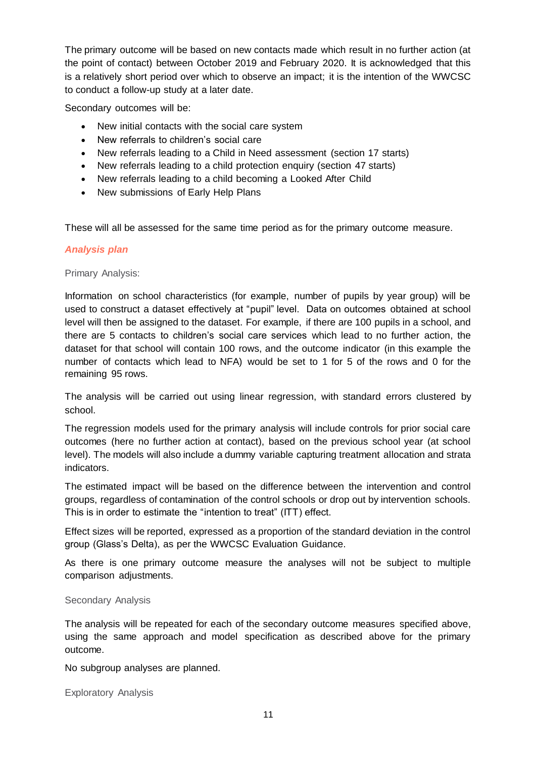The primary outcome will be based on new contacts made which result in no further action (at the point of contact) between October 2019 and February 2020. It is acknowledged that this is a relatively short period over which to observe an impact; it is the intention of the WWCSC to conduct a follow-up study at a later date.

Secondary outcomes will be:

- New initial contacts with the social care system
- New referrals to children's social care
- New referrals leading to a Child in Need assessment (section 17 starts)
- New referrals leading to a child protection enquiry (section 47 starts)
- New referrals leading to a child becoming a Looked After Child
- New submissions of Early Help Plans

These will all be assessed for the same time period as for the primary outcome measure.

#### <span id="page-10-0"></span>*Analysis plan*

Primary Analysis:

Information on school characteristics (for example, number of pupils by year group) will be used to construct a dataset effectively at "pupil" level. Data on outcomes obtained at school level will then be assigned to the dataset. For example, if there are 100 pupils in a school, and there are 5 contacts to children's social care services which lead to no further action, the dataset for that school will contain 100 rows, and the outcome indicator (in this example the number of contacts which lead to NFA) would be set to 1 for 5 of the rows and 0 for the remaining 95 rows.

The analysis will be carried out using linear regression, with standard errors clustered by school.

The regression models used for the primary analysis will include controls for prior social care outcomes (here no further action at contact), based on the previous school year (at school level). The models will also include a dummy variable capturing treatment allocation and strata indicators.

The estimated impact will be based on the difference between the intervention and control groups, regardless of contamination of the control schools or drop out by intervention schools. This is in order to estimate the "intention to treat" (ITT) effect.

Effect sizes will be reported, expressed as a proportion of the standard deviation in the control group (Glass's Delta), as per the WWCSC Evaluation Guidance.

As there is one primary outcome measure the analyses will not be subject to multiple comparison adjustments.

#### Secondary Analysis

The analysis will be repeated for each of the secondary outcome measures specified above, using the same approach and model specification as described above for the primary outcome.

No subgroup analyses are planned.

Exploratory Analysis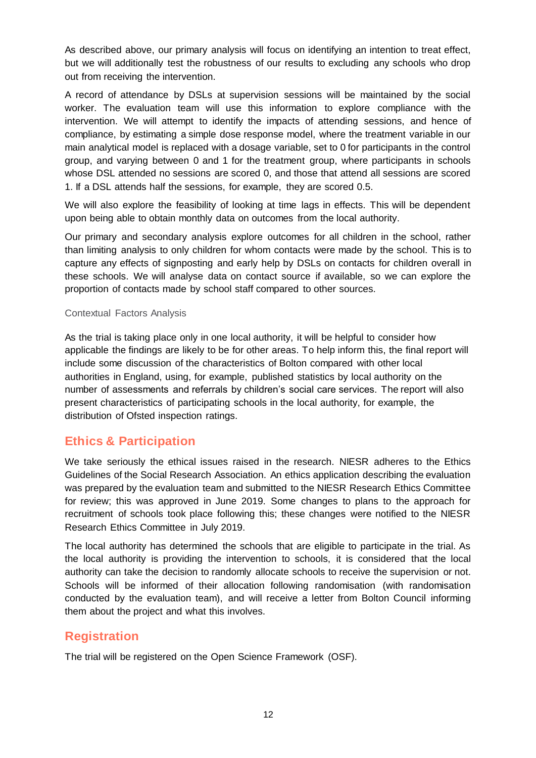As described above, our primary analysis will focus on identifying an intention to treat effect, but we will additionally test the robustness of our results to excluding any schools who drop out from receiving the intervention.

A record of attendance by DSLs at supervision sessions will be maintained by the social worker. The evaluation team will use this information to explore compliance with the intervention. We will attempt to identify the impacts of attending sessions, and hence of compliance, by estimating a simple dose response model, where the treatment variable in our main analytical model is replaced with a dosage variable, set to 0 for participants in the control group, and varying between 0 and 1 for the treatment group, where participants in schools whose DSL attended no sessions are scored 0, and those that attend all sessions are scored 1. If a DSL attends half the sessions, for example, they are scored 0.5.

We will also explore the feasibility of looking at time lags in effects. This will be dependent upon being able to obtain monthly data on outcomes from the local authority.

Our primary and secondary analysis explore outcomes for all children in the school, rather than limiting analysis to only children for whom contacts were made by the school. This is to capture any effects of signposting and early help by DSLs on contacts for children overall in these schools. We will analyse data on contact source if available, so we can explore the proportion of contacts made by school staff compared to other sources.

#### Contextual Factors Analysis

As the trial is taking place only in one local authority, it will be helpful to consider how applicable the findings are likely to be for other areas. To help inform this, the final report will include some discussion of the characteristics of Bolton compared with other local authorities in England, using, for example, published statistics by local authority on the number of assessments and referrals by children's social care services. The report will also present characteristics of participating schools in the local authority, for example, the distribution of Ofsted inspection ratings.

## <span id="page-11-0"></span>**Ethics & Participation**

We take seriously the ethical issues raised in the research. NIESR adheres to the Ethics Guidelines of the Social Research Association. An ethics application describing the evaluation was prepared by the evaluation team and submitted to the NIESR Research Ethics Committee for review; this was approved in June 2019. Some changes to plans to the approach for recruitment of schools took place following this; these changes were notified to the NIESR Research Ethics Committee in July 2019.

The local authority has determined the schools that are eligible to participate in the trial. As the local authority is providing the intervention to schools, it is considered that the local authority can take the decision to randomly allocate schools to receive the supervision or not. Schools will be informed of their allocation following randomisation (with randomisation conducted by the evaluation team), and will receive a letter from Bolton Council informing them about the project and what this involves.

## <span id="page-11-1"></span>**Registration**

The trial will be registered on the Open Science Framework (OSF).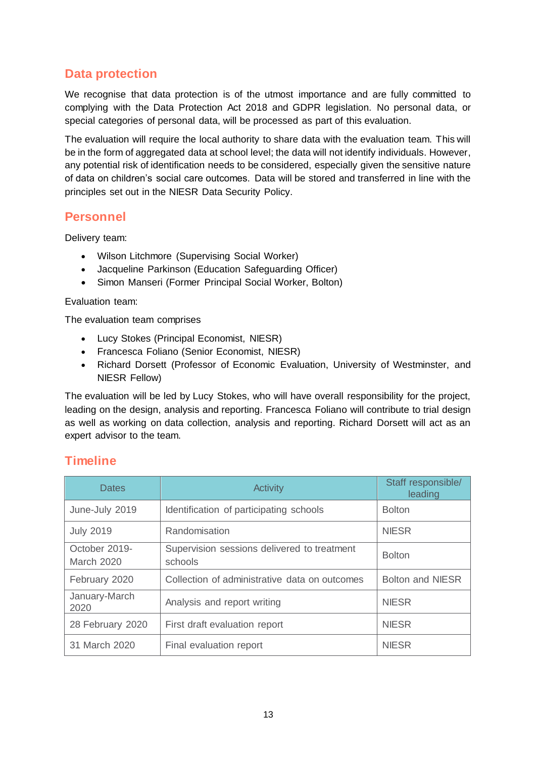## <span id="page-12-0"></span>**Data protection**

We recognise that data protection is of the utmost importance and are fully committed to complying with the Data Protection Act 2018 and GDPR legislation. No personal data, or special categories of personal data, will be processed as part of this evaluation.

The evaluation will require the local authority to share data with the evaluation team. This will be in the form of aggregated data at school level; the data will not identify individuals. However, any potential risk of identification needs to be considered, especially given the sensitive nature of data on children's social care outcomes. Data will be stored and transferred in line with the principles set out in the NIESR Data Security Policy.

## <span id="page-12-1"></span>**Personnel**

Delivery team:

- Wilson Litchmore (Supervising Social Worker)
- Jacqueline Parkinson (Education Safeguarding Officer)
- Simon Manseri (Former Principal Social Worker, Bolton)

Evaluation team:

The evaluation team comprises

- Lucy Stokes (Principal Economist, NIESR)
- Francesca Foliano (Senior Economist, NIESR)
- Richard Dorsett (Professor of Economic Evaluation, University of Westminster, and NIESR Fellow)

The evaluation will be led by Lucy Stokes, who will have overall responsibility for the project, leading on the design, analysis and reporting. Francesca Foliano will contribute to trial design as well as working on data collection, analysis and reporting. Richard Dorsett will act as an expert advisor to the team.

## <span id="page-12-2"></span>**Timeline**

| <b>Dates</b>                       | <b>Activity</b>                                        | Staff responsible/<br>leading |
|------------------------------------|--------------------------------------------------------|-------------------------------|
| June-July 2019                     | Identification of participating schools                | <b>Bolton</b>                 |
| <b>July 2019</b>                   | Randomisation                                          | <b>NIESR</b>                  |
| October 2019-<br><b>March 2020</b> | Supervision sessions delivered to treatment<br>schools | <b>Bolton</b>                 |
| February 2020                      | Collection of administrative data on outcomes          | <b>Bolton and NIESR</b>       |
| January-March<br>2020              | Analysis and report writing                            | <b>NIESR</b>                  |
| 28 February 2020                   | First draft evaluation report                          | <b>NIESR</b>                  |
| 31 March 2020                      | Final evaluation report                                | <b>NIESR</b>                  |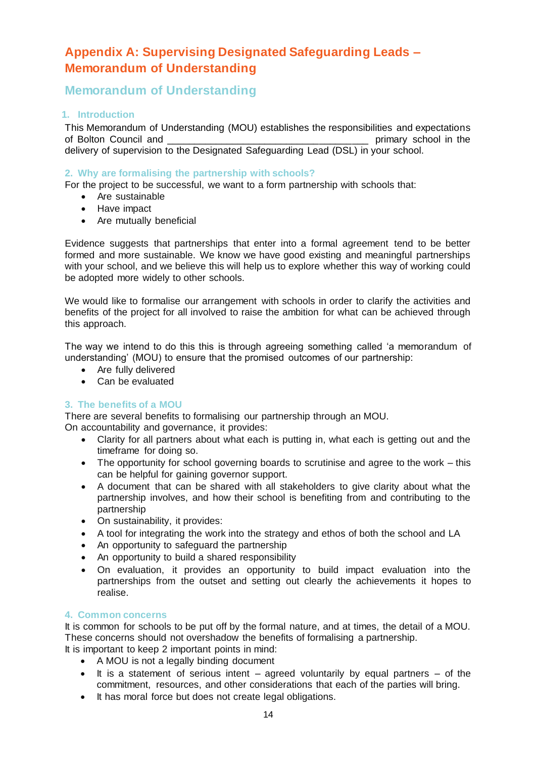## <span id="page-13-0"></span>**Appendix A: Supervising Designated Safeguarding Leads – Memorandum of Understanding**

## **Memorandum of Understanding**

## **1. Introduction**

This Memorandum of Understanding (MOU) establishes the responsibilities and expectations of Bolton Council and \_\_\_\_\_\_\_\_\_\_\_\_\_\_\_\_\_\_\_\_\_\_\_\_\_\_\_\_\_\_\_\_\_\_\_\_\_ primary school in the delivery of supervision to the Designated Safeguarding Lead (DSL) in your school.

## **2. Why are formalising the partnership with schools?**

For the project to be successful, we want to a form partnership with schools that:

- Are sustainable
- Have impact
- Are mutually beneficial

Evidence suggests that partnerships that enter into a formal agreement tend to be better formed and more sustainable. We know we have good existing and meaningful partnerships with your school, and we believe this will help us to explore whether this way of working could be adopted more widely to other schools.

We would like to formalise our arrangement with schools in order to clarify the activities and benefits of the project for all involved to raise the ambition for what can be achieved through this approach.

The way we intend to do this this is through agreeing something called 'a memorandum of understanding' (MOU) to ensure that the promised outcomes of our partnership:

- Are fully delivered
- Can be evaluated

## **3. The benefits of a MOU**

There are several benefits to formalising our partnership through an MOU. On accountability and governance, it provides:

- Clarity for all partners about what each is putting in, what each is getting out and the timeframe for doing so.
- The opportunity for school governing boards to scrutinise and agree to the work this can be helpful for gaining governor support.
- A document that can be shared with all stakeholders to give clarity about what the partnership involves, and how their school is benefiting from and contributing to the partnership
- On sustainability, it provides:
- A tool for integrating the work into the strategy and ethos of both the school and LA
- An opportunity to safeguard the partnership
- An opportunity to build a shared responsibility
- On evaluation, it provides an opportunity to build impact evaluation into the partnerships from the outset and setting out clearly the achievements it hopes to realise.

### **4. Common concerns**

It is common for schools to be put off by the formal nature, and at times, the detail of a MOU. These concerns should not overshadow the benefits of formalising a partnership.

- It is important to keep 2 important points in mind: A MOU is not a legally binding document
	- $\bullet$  It is a statement of serious intent agreed voluntarily by equal partners of the commitment, resources, and other considerations that each of the parties will bring.
	- It has moral force but does not create legal obligations.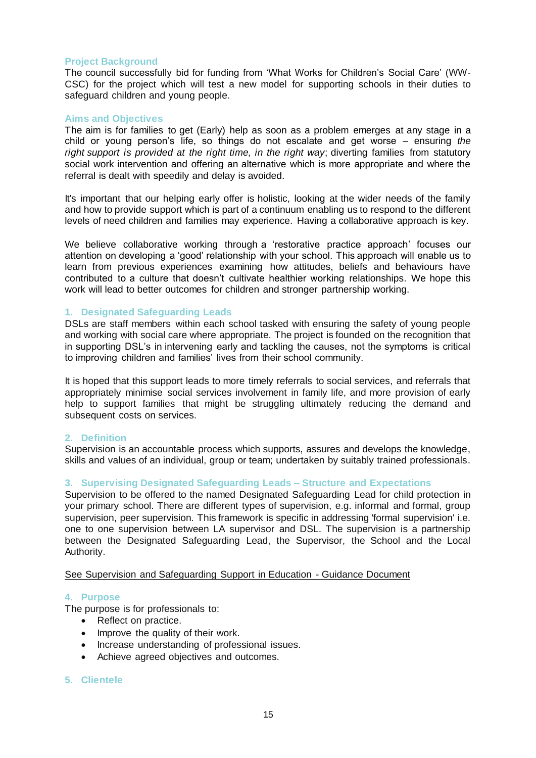#### **Project Background**

The council successfully bid for funding from 'What Works for Children's Social Care' (WW-CSC) for the project which will test a new model for supporting schools in their duties to safeguard children and young people.

#### **Aims and Objectives**

The aim is for families to get (Early) help as soon as a problem emerges at any stage in a child or young person's life, so things do not escalate and get worse – ensuring *the right support is provided at the right time, in the right way*; diverting families from statutory social work intervention and offering an alternative which is more appropriate and where the referral is dealt with speedily and delay is avoided.

It's important that our helping early offer is holistic, looking at the wider needs of the family and how to provide support which is part of a continuum enabling us to respond to the different levels of need children and families may experience. Having a collaborative approach is key.

We believe collaborative working through a 'restorative practice approach' focuses our attention on developing a 'good' relationship with your school. This approach will enable us to learn from previous experiences examining how attitudes, beliefs and behaviours have contributed to a culture that doesn't cultivate healthier working relationships. We hope this work will lead to better outcomes for children and stronger partnership working.

#### **1. Designated Safeguarding Leads**

DSLs are staff members within each school tasked with ensuring the safety of young people and working with social care where appropriate. The project is founded on the recognition that in supporting DSL's in intervening early and tackling the causes, not the symptoms is critical to improving children and families' lives from their school community.

It is hoped that this support leads to more timely referrals to social services, and referrals that appropriately minimise social services involvement in family life, and more provision of early help to support families that might be struggling ultimately reducing the demand and subsequent costs on services.

#### **2. Definition**

Supervision is an accountable process which supports, assures and develops the knowledge, skills and values of an individual, group or team; undertaken by suitably trained professionals.

#### **3. Supervising Designated Safeguarding Leads – Structure and Expectations**

Supervision to be offered to the named Designated Safeguarding Lead for child protection in your primary school. There are different types of supervision, e.g. informal and formal, group supervision, peer supervision. This framework is specific in addressing 'formal supervision' i.e. one to one supervision between LA supervisor and DSL. The supervision is a partnership between the Designated Safeguarding Lead, the Supervisor, the School and the Local Authority.

#### See Supervision and Safeguarding Support in Education - Guidance Document

#### **4. Purpose**

The purpose is for professionals to:

- Reflect on practice.
- Improve the quality of their work.
- Increase understanding of professional issues.
- Achieve agreed objectives and outcomes.

#### **5. Clientele**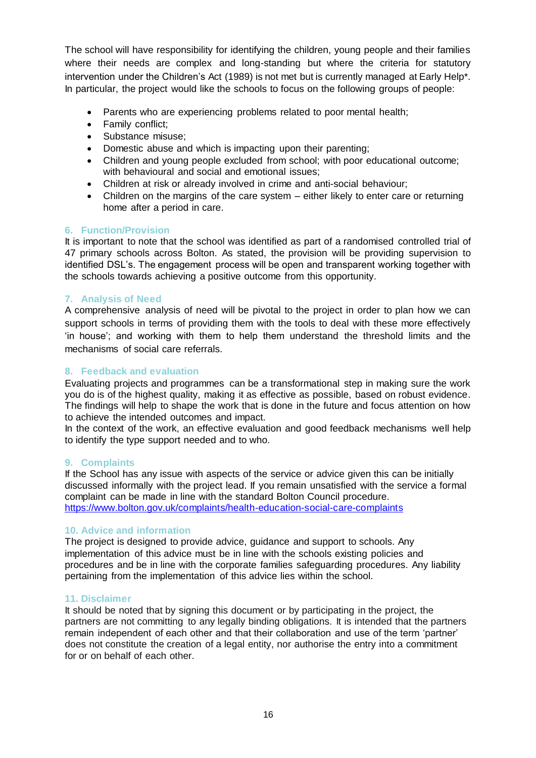The school will have responsibility for identifying the children, young people and their families where their needs are complex and long-standing but where the criteria for statutory intervention under the Children's Act (1989) is not met but is currently managed at Early Help\*. In particular, the project would like the schools to focus on the following groups of people:

- Parents who are experiencing problems related to poor mental health;
- Family conflict:
- Substance misuse:
- Domestic abuse and which is impacting upon their parenting;
- Children and young people excluded from school; with poor educational outcome; with behavioural and social and emotional issues;
- Children at risk or already involved in crime and anti-social behaviour;
- Children on the margins of the care system either likely to enter care or returning home after a period in care.

## **6. Function/Provision**

It is important to note that the school was identified as part of a randomised controlled trial of 47 primary schools across Bolton. As stated, the provision will be providing supervision to identified DSL's. The engagement process will be open and transparent working together with the schools towards achieving a positive outcome from this opportunity.

## **7. Analysis of Need**

A comprehensive analysis of need will be pivotal to the project in order to plan how we can support schools in terms of providing them with the tools to deal with these more effectively 'in house'; and working with them to help them understand the threshold limits and the mechanisms of social care referrals.

### **8. Feedback and evaluation**

Evaluating projects and programmes can be a transformational step in making sure the work you do is of the highest quality, making it as effective as possible, based on robust evidence. The findings will help to shape the work that is done in the future and focus attention on how to achieve the intended outcomes and impact.

In the context of the work, an effective evaluation and good feedback mechanisms well help to identify the type support needed and to who.

### **9. Complaints**

If the School has any issue with aspects of the service or advice given this can be initially discussed informally with the project lead. If you remain unsatisfied with the service a formal complaint can be made in line with the standard Bolton Council procedure. <https://www.bolton.gov.uk/complaints/health-education-social-care-complaints>

### **10. Advice and information**

The project is designed to provide advice, guidance and support to schools. Any implementation of this advice must be in line with the schools existing policies and procedures and be in line with the corporate families safeguarding procedures. Any liability pertaining from the implementation of this advice lies within the school.

### **11. Disclaimer**

It should be noted that by signing this document or by participating in the project, the partners are not committing to any legally binding obligations. It is intended that the partners remain independent of each other and that their collaboration and use of the term 'partner' does not constitute the creation of a legal entity, nor authorise the entry into a commitment for or on behalf of each other.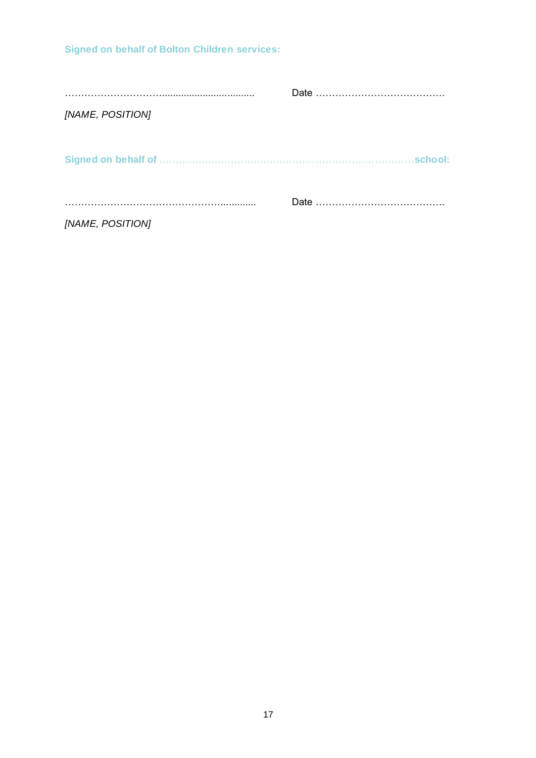………………………….................................. Date …………………………………. *[NAME, POSITION]* **Signed on behalf of** ……………………………………………………………………**school:** …………………………………………............. Date …………………………………. *[NAME, POSITION]*

**Signed on behalf of Bolton Children services:**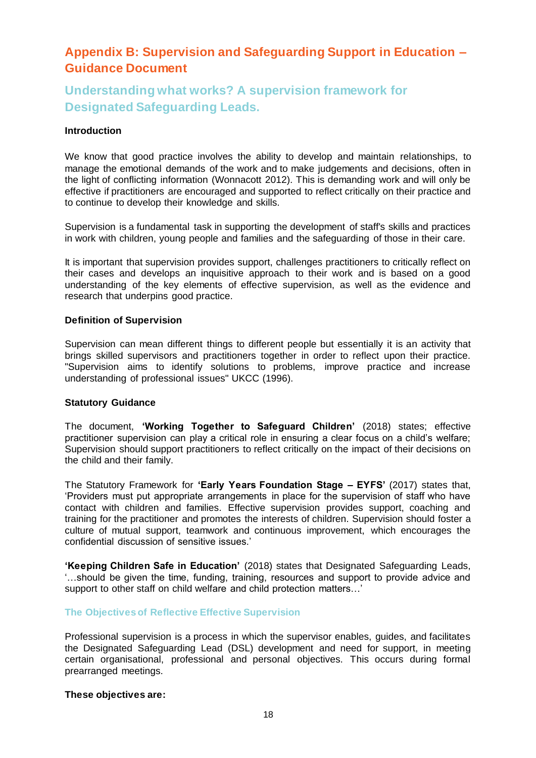## <span id="page-17-0"></span>**Appendix B: Supervision and Safeguarding Support in Education – Guidance Document**

## **Understanding what works? A supervision framework for Designated Safeguarding Leads.**

#### **Introduction**

We know that good practice involves the ability to develop and maintain relationships, to manage the emotional demands of the work and to make judgements and decisions, often in the light of conflicting information (Wonnacott 2012). This is demanding work and will only be effective if practitioners are encouraged and supported to reflect critically on their practice and to continue to develop their knowledge and skills.

Supervision is a fundamental task in supporting the development of staff's skills and practices in work with children, young people and families and the safeguarding of those in their care.

It is important that supervision provides support, challenges practitioners to critically reflect on their cases and develops an inquisitive approach to their work and is based on a good understanding of the key elements of effective supervision, as well as the evidence and research that underpins good practice.

#### **Definition of Supervision**

Supervision can mean different things to different people but essentially it is an activity that brings skilled supervisors and practitioners together in order to reflect upon their practice. "Supervision aims to identify solutions to problems, improve practice and increase understanding of professional issues" UKCC (1996).

#### **Statutory Guidance**

The document, **'Working Together to Safeguard Children'** (2018) states; effective practitioner supervision can play a critical role in ensuring a clear focus on a child's welfare; Supervision should support practitioners to reflect critically on the impact of their decisions on the child and their family.

The Statutory Framework for **'Early Years Foundation Stage – EYFS'** (2017) states that, 'Providers must put appropriate arrangements in place for the supervision of staff who have contact with children and families. Effective supervision provides support, coaching and training for the practitioner and promotes the interests of children. Supervision should foster a culture of mutual support, teamwork and continuous improvement, which encourages the confidential discussion of sensitive issues.'

**'Keeping Children Safe in Education'** (2018) states that Designated Safeguarding Leads, '…should be given the time, funding, training, resources and support to provide advice and support to other staff on child welfare and child protection matters…'

#### **The Objectives of Reflective Effective Supervision**

Professional supervision is a process in which the supervisor enables, guides, and facilitates the Designated Safeguarding Lead (DSL) development and need for support, in meeting certain organisational, professional and personal objectives. This occurs during formal prearranged meetings.

#### **These objectives are:**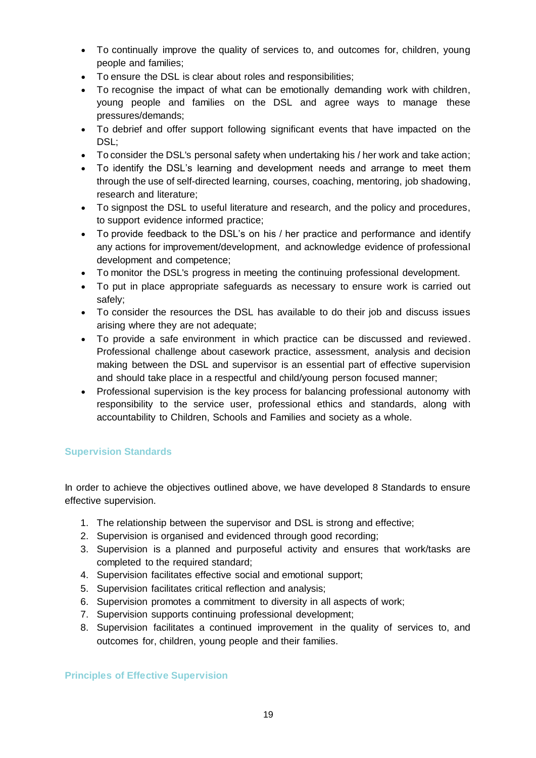- To continually improve the quality of services to, and outcomes for, children, young people and families;
- To ensure the DSL is clear about roles and responsibilities;
- To recognise the impact of what can be emotionally demanding work with children, young people and families on the DSL and agree ways to manage these pressures/demands;
- To debrief and offer support following significant events that have impacted on the DSL:
- To consider the DSL's personal safety when undertaking his / her work and take action;
- To identify the DSL's learning and development needs and arrange to meet them through the use of self-directed learning, courses, coaching, mentoring, job shadowing, research and literature;
- To signpost the DSL to useful literature and research, and the policy and procedures, to support evidence informed practice;
- To provide feedback to the DSL's on his / her practice and performance and identify any actions for improvement/development, and acknowledge evidence of professional development and competence;
- To monitor the DSL's progress in meeting the continuing professional development.
- To put in place appropriate safeguards as necessary to ensure work is carried out safely;
- To consider the resources the DSL has available to do their job and discuss issues arising where they are not adequate;
- To provide a safe environment in which practice can be discussed and reviewed. Professional challenge about casework practice, assessment, analysis and decision making between the DSL and supervisor is an essential part of effective supervision and should take place in a respectful and child/young person focused manner;
- Professional supervision is the key process for balancing professional autonomy with responsibility to the service user, professional ethics and standards, along with accountability to Children, Schools and Families and society as a whole.

## **Supervision Standards**

In order to achieve the objectives outlined above, we have developed 8 Standards to ensure effective supervision.

- 1. The relationship between the supervisor and DSL is strong and effective;
- 2. Supervision is organised and evidenced through good recording;
- 3. Supervision is a planned and purposeful activity and ensures that work/tasks are completed to the required standard;
- 4. Supervision facilitates effective social and emotional support;
- 5. Supervision facilitates critical reflection and analysis;
- 6. Supervision promotes a commitment to diversity in all aspects of work;
- 7. Supervision supports continuing professional development;
- 8. Supervision facilitates a continued improvement in the quality of services to, and outcomes for, children, young people and their families.

### **Principles of Effective Supervision**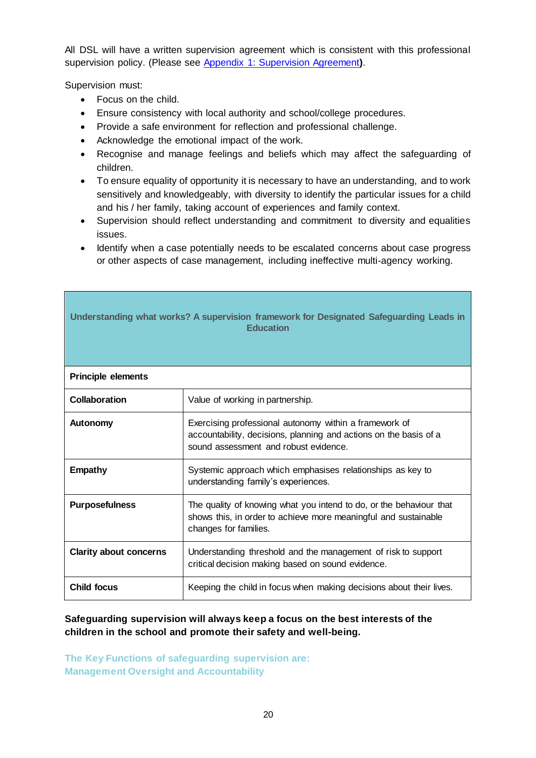All DSL will have a written supervision agreement which is consistent with this professional supervision policy. (Please see [Appendix 1: Supervision Agreement](https://gloucestershirechildcare.proceduresonline.com/files/app_3_sup_agree.docx)**)**.

Supervision must:

- Focus on the child.
- Ensure consistency with local authority and school/college procedures.
- Provide a safe environment for reflection and professional challenge.
- Acknowledge the emotional impact of the work.
- Recognise and manage feelings and beliefs which may affect the safeguarding of children.
- To ensure equality of opportunity it is necessary to have an understanding, and to work sensitively and knowledgeably, with diversity to identify the particular issues for a child and his / her family, taking account of experiences and family context.
- Supervision should reflect understanding and commitment to diversity and equalities issues.
- Identify when a case potentially needs to be escalated concerns about case progress or other aspects of case management, including ineffective multi-agency working.

| Understanding what works? A supervision framework for Designated Safeguarding Leads in<br><b>Education</b> |                                                                                                                                                                      |  |  |
|------------------------------------------------------------------------------------------------------------|----------------------------------------------------------------------------------------------------------------------------------------------------------------------|--|--|
| <b>Principle elements</b>                                                                                  |                                                                                                                                                                      |  |  |
| Collaboration                                                                                              | Value of working in partnership.                                                                                                                                     |  |  |
| <b>Autonomy</b>                                                                                            | Exercising professional autonomy within a framework of<br>accountability, decisions, planning and actions on the basis of a<br>sound assessment and robust evidence. |  |  |
| <b>Empathy</b>                                                                                             | Systemic approach which emphasises relationships as key to<br>understanding family's experiences.                                                                    |  |  |
| <b>Purposefulness</b>                                                                                      | The quality of knowing what you intend to do, or the behaviour that<br>shows this, in order to achieve more meaningful and sustainable<br>changes for families.      |  |  |
| <b>Clarity about concerns</b>                                                                              | Understanding threshold and the management of risk to support<br>critical decision making based on sound evidence.                                                   |  |  |
| <b>Child focus</b>                                                                                         | Keeping the child in focus when making decisions about their lives.                                                                                                  |  |  |

## **Safeguarding supervision will always keep a focus on the best interests of the children in the school and promote their safety and well-being.**

**The Key Functions of safeguarding supervision are: Management Oversight and Accountability**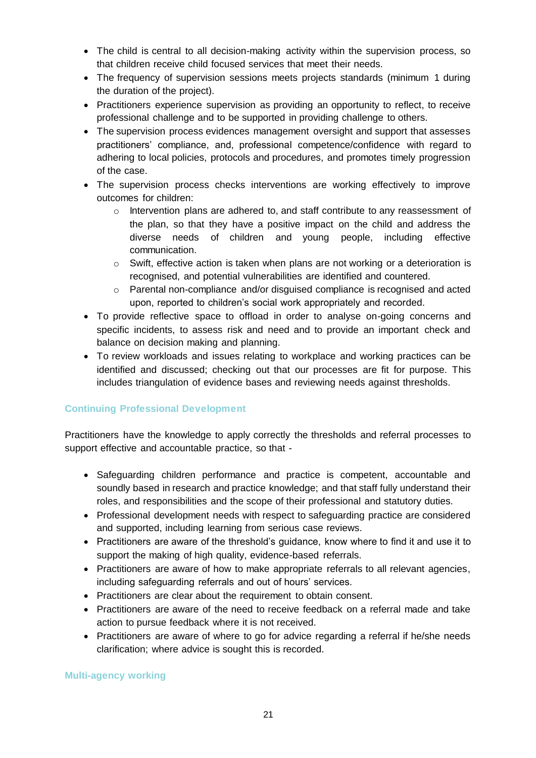- The child is central to all decision-making activity within the supervision process, so that children receive child focused services that meet their needs.
- The frequency of supervision sessions meets projects standards (minimum 1 during the duration of the project).
- Practitioners experience supervision as providing an opportunity to reflect, to receive professional challenge and to be supported in providing challenge to others.
- The supervision process evidences management oversight and support that assesses practitioners' compliance, and, professional competence/confidence with regard to adhering to local policies, protocols and procedures, and promotes timely progression of the case.
- The supervision process checks interventions are working effectively to improve outcomes for children:
	- o Intervention plans are adhered to, and staff contribute to any reassessment of the plan, so that they have a positive impact on the child and address the diverse needs of children and young people, including effective communication.
	- $\circ$  Swift, effective action is taken when plans are not working or a deterioration is recognised, and potential vulnerabilities are identified and countered.
	- o Parental non-compliance and/or disguised compliance is recognised and acted upon, reported to children's social work appropriately and recorded.
- To provide reflective space to offload in order to analyse on-going concerns and specific incidents, to assess risk and need and to provide an important check and balance on decision making and planning.
- To review workloads and issues relating to workplace and working practices can be identified and discussed; checking out that our processes are fit for purpose. This includes triangulation of evidence bases and reviewing needs against thresholds.

## **Continuing Professional Development**

Practitioners have the knowledge to apply correctly the thresholds and referral processes to support effective and accountable practice, so that -

- Safeguarding children performance and practice is competent, accountable and soundly based in research and practice knowledge; and that staff fully understand their roles, and responsibilities and the scope of their professional and statutory duties.
- Professional development needs with respect to safeguarding practice are considered and supported, including learning from serious case reviews.
- Practitioners are aware of the threshold's quidance, know where to find it and use it to support the making of high quality, evidence-based referrals.
- Practitioners are aware of how to make appropriate referrals to all relevant agencies, including safeguarding referrals and out of hours' services.
- Practitioners are clear about the requirement to obtain consent.
- Practitioners are aware of the need to receive feedback on a referral made and take action to pursue feedback where it is not received.
- Practitioners are aware of where to go for advice regarding a referral if he/she needs clarification; where advice is sought this is recorded.

**Multi-agency working**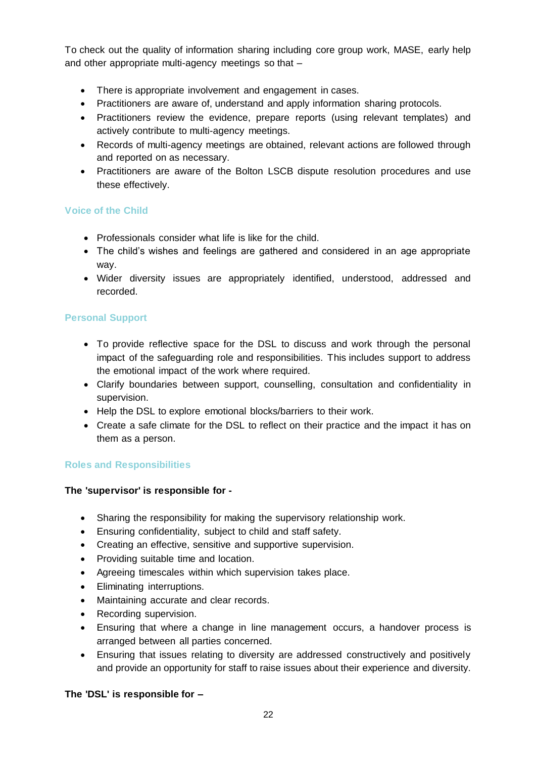To check out the quality of information sharing including core group work, MASE, early help and other appropriate multi-agency meetings so that –

- There is appropriate involvement and engagement in cases.
- Practitioners are aware of, understand and apply information sharing protocols.
- Practitioners review the evidence, prepare reports (using relevant templates) and actively contribute to multi-agency meetings.
- Records of multi-agency meetings are obtained, relevant actions are followed through and reported on as necessary.
- Practitioners are aware of the Bolton LSCB dispute resolution procedures and use these effectively.

## **Voice of the Child**

- Professionals consider what life is like for the child.
- The child's wishes and feelings are gathered and considered in an age appropriate way.
- Wider diversity issues are appropriately identified, understood, addressed and recorded.

## **Personal Support**

- To provide reflective space for the DSL to discuss and work through the personal impact of the safeguarding role and responsibilities. This includes support to address the emotional impact of the work where required.
- Clarify boundaries between support, counselling, consultation and confidentiality in supervision.
- Help the DSL to explore emotional blocks/barriers to their work.
- Create a safe climate for the DSL to reflect on their practice and the impact it has on them as a person.

## **Roles and Responsibilities**

### **The 'supervisor' is responsible for -**

- Sharing the responsibility for making the supervisory relationship work.
- Ensuring confidentiality, subject to child and staff safety.
- Creating an effective, sensitive and supportive supervision.
- Providing suitable time and location.
- Agreeing timescales within which supervision takes place.
- Eliminating interruptions.
- Maintaining accurate and clear records.
- Recording supervision.
- Ensuring that where a change in line management occurs, a handover process is arranged between all parties concerned.
- Ensuring that issues relating to diversity are addressed constructively and positively and provide an opportunity for staff to raise issues about their experience and diversity.

## **The 'DSL' is responsible for –**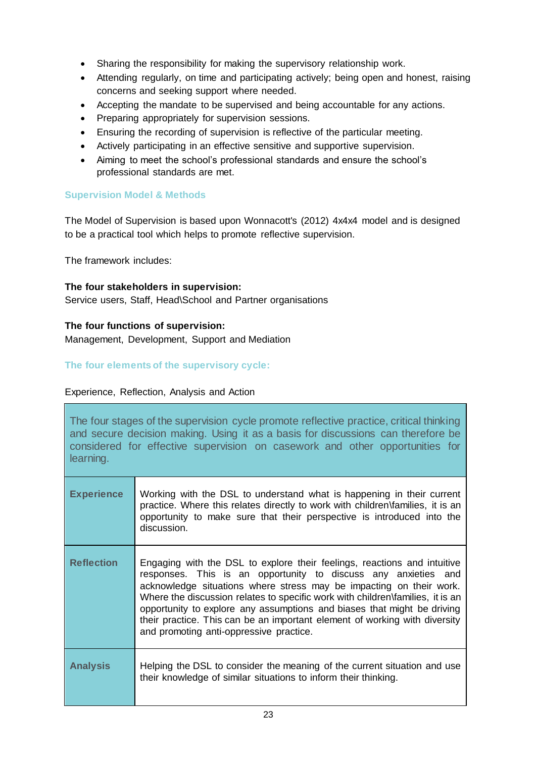- Sharing the responsibility for making the supervisory relationship work.
- Attending regularly, on time and participating actively; being open and honest, raising concerns and seeking support where needed.
- Accepting the mandate to be supervised and being accountable for any actions.
- Preparing appropriately for supervision sessions.
- Ensuring the recording of supervision is reflective of the particular meeting.
- Actively participating in an effective sensitive and supportive supervision.
- Aiming to meet the school's professional standards and ensure the school's professional standards are met.

### **Supervision Model & Methods**

The Model of Supervision is based upon Wonnacott's (2012) 4x4x4 model and is designed to be a practical tool which helps to promote reflective supervision.

The framework includes:

#### **The four stakeholders in supervision:**

Service users, Staff, Head\School and Partner organisations

### **The four functions of supervision:**

Management, Development, Support and Mediation

### **The four elements of the supervisory cycle:**

### Experience, Reflection, Analysis and Action

The four stages of the supervision cycle promote reflective practice, critical thinking and secure decision making. Using it as a basis for discussions can therefore be considered for effective supervision on casework and other opportunities for learning.

| <b>Experience</b> | Working with the DSL to understand what is happening in their current<br>practice. Where this relates directly to work with children\families, it is an<br>opportunity to make sure that their perspective is introduced into the<br>discussion.                                                                                                                                                                                                                                                        |
|-------------------|---------------------------------------------------------------------------------------------------------------------------------------------------------------------------------------------------------------------------------------------------------------------------------------------------------------------------------------------------------------------------------------------------------------------------------------------------------------------------------------------------------|
| <b>Reflection</b> | Engaging with the DSL to explore their feelings, reactions and intuitive<br>responses. This is an opportunity to discuss any anxieties and<br>acknowledge situations where stress may be impacting on their work.<br>Where the discussion relates to specific work with children\families, it is an<br>opportunity to explore any assumptions and biases that might be driving<br>their practice. This can be an important element of working with diversity<br>and promoting anti-oppressive practice. |
| <b>Analysis</b>   | Helping the DSL to consider the meaning of the current situation and use<br>their knowledge of similar situations to inform their thinking.                                                                                                                                                                                                                                                                                                                                                             |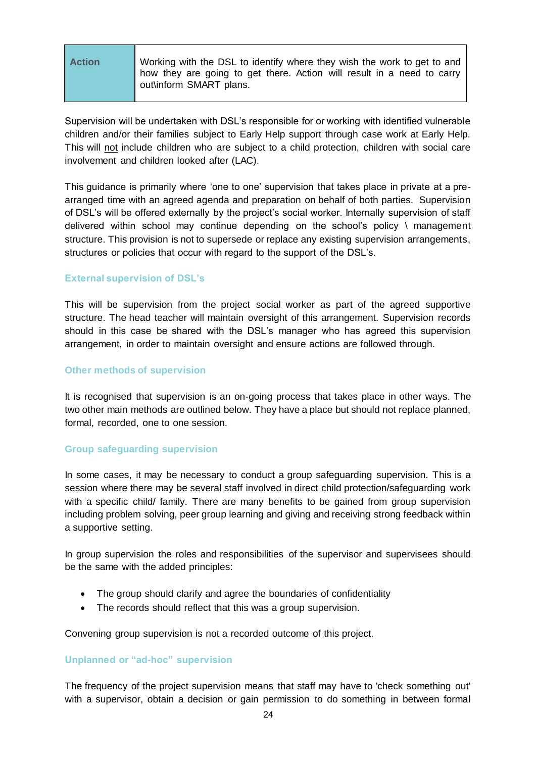| <b>Action</b> | Working with the DSL to identify where they wish the work to get to and<br>how they are going to get there. Action will result in a need to carry<br>out\inform SMART plans. |
|---------------|------------------------------------------------------------------------------------------------------------------------------------------------------------------------------|
|---------------|------------------------------------------------------------------------------------------------------------------------------------------------------------------------------|

Supervision will be undertaken with DSL's responsible for or working with identified vulnerable children and/or their families subject to Early Help support through case work at Early Help. This will not include children who are subject to a child protection, children with social care involvement and children looked after (LAC).

This guidance is primarily where 'one to one' supervision that takes place in private at a prearranged time with an agreed agenda and preparation on behalf of both parties. Supervision of DSL's will be offered externally by the project's social worker. Internally supervision of staff delivered within school may continue depending on the school's policy \ management structure. This provision is not to supersede or replace any existing supervision arrangements, structures or policies that occur with regard to the support of the DSL's.

### **External supervision of DSL's**

This will be supervision from the project social worker as part of the agreed supportive structure. The head teacher will maintain oversight of this arrangement. Supervision records should in this case be shared with the DSL's manager who has agreed this supervision arrangement, in order to maintain oversight and ensure actions are followed through.

### **Other methods of supervision**

It is recognised that supervision is an on-going process that takes place in other ways. The two other main methods are outlined below. They have a place but should not replace planned, formal, recorded, one to one session.

### **Group safeguarding supervision**

In some cases, it may be necessary to conduct a group safeguarding supervision. This is a session where there may be several staff involved in direct child protection/safeguarding work with a specific child/ family. There are many benefits to be gained from group supervision including problem solving, peer group learning and giving and receiving strong feedback within a supportive setting.

In group supervision the roles and responsibilities of the supervisor and supervisees should be the same with the added principles:

- The group should clarify and agree the boundaries of confidentiality
- The records should reflect that this was a group supervision.

Convening group supervision is not a recorded outcome of this project.

### **Unplanned or "ad-hoc" supervision**

The frequency of the project supervision means that staff may have to 'check something out' with a supervisor, obtain a decision or gain permission to do something in between formal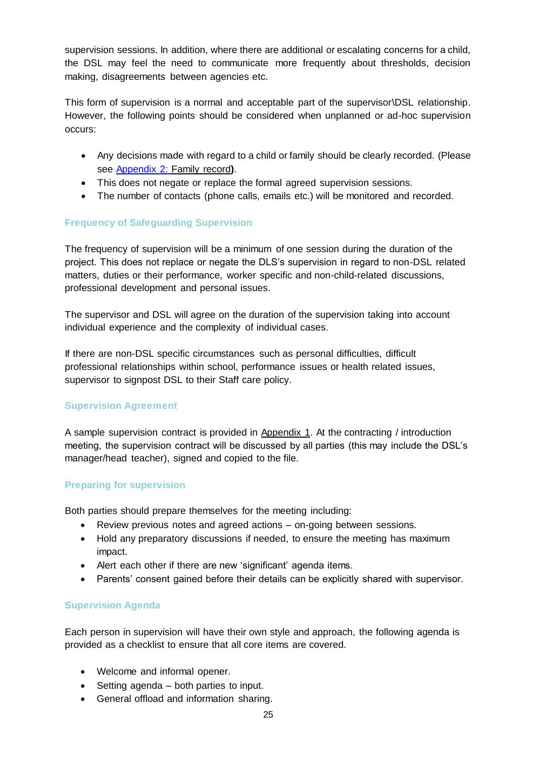supervision sessions. In addition, where there are additional or escalating concerns for a child, the DSL may feel the need to communicate more frequently about thresholds, decision making, disagreements between agencies etc.

This form of supervision is a normal and acceptable part of the supervisor\DSL relationship. However, the following points should be considered when unplanned or ad-hoc supervision occurs:

- Any decisions made with regard to a child or family should be clearly recorded. (Please see [Appendix 2: F](https://gloucestershirechildcare.proceduresonline.com/files/app_3_sup_agree.docx)amily record**)**.
- This does not negate or replace the formal agreed supervision sessions.
- The number of contacts (phone calls, emails etc.) will be monitored and recorded.

## **Frequency of Safeguarding Supervision**

The frequency of supervision will be a minimum of one session during the duration of the project. This does not replace or negate the DLS's supervision in regard to non-DSL related matters, duties or their performance, worker specific and non-child-related discussions, professional development and personal issues.

The supervisor and DSL will agree on the duration of the supervision taking into account individual experience and the complexity of individual cases.

If there are non-DSL specific circumstances such as personal difficulties, difficult professional relationships within school, performance issues or health related issues, supervisor to signpost DSL to their Staff care policy.

## **Supervision Agreement**

A sample supervision contract is provided in Appendix 1. At the contracting / introduction meeting, the supervision contract will be discussed by all parties (this may include the DSL's manager/head teacher), signed and copied to the file.

## **Preparing for supervision**

Both parties should prepare themselves for the meeting including:

- Review previous notes and agreed actions on-going between sessions.
- Hold any preparatory discussions if needed, to ensure the meeting has maximum impact.
- Alert each other if there are new 'significant' agenda items.
- Parents' consent gained before their details can be explicitly shared with supervisor.

### **Supervision Agenda**

Each person in supervision will have their own style and approach, the following agenda is provided as a checklist to ensure that all core items are covered.

- Welcome and informal opener.
- Setting agenda both parties to input.
- General offload and information sharing.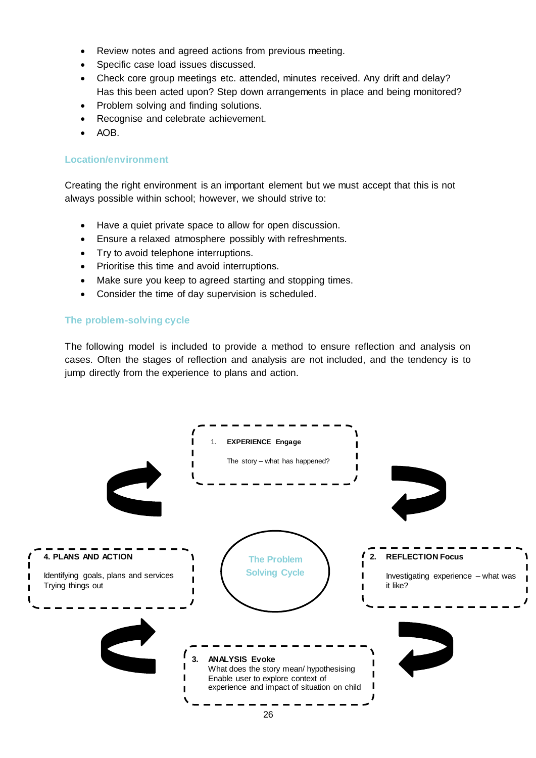- Review notes and agreed actions from previous meeting.
- Specific case load issues discussed.
- Check core group meetings etc. attended, minutes received. Any drift and delay? Has this been acted upon? Step down arrangements in place and being monitored?
- Problem solving and finding solutions.
- Recognise and celebrate achievement.
- AOB.

### **Location/environment**

Creating the right environment is an important element but we must accept that this is not always possible within school; however, we should strive to:

- Have a quiet private space to allow for open discussion.
- Ensure a relaxed atmosphere possibly with refreshments.
- Try to avoid telephone interruptions.
- Prioritise this time and avoid interruptions.
- Make sure you keep to agreed starting and stopping times.
- Consider the time of day supervision is scheduled.

#### **The problem-solving cycle**

The following model is included to provide a method to ensure reflection and analysis on cases. Often the stages of reflection and analysis are not included, and the tendency is to jump directly from the experience to plans and action.

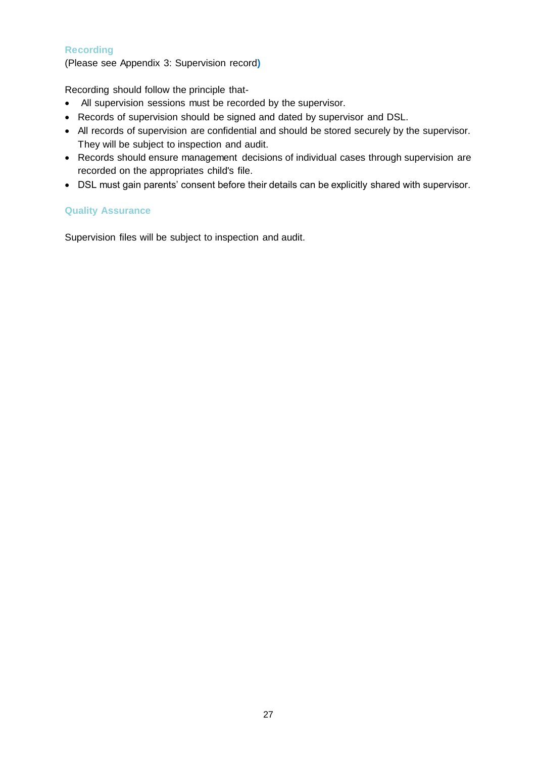## **Recording**

(Please see Appendix 3: Supervision record**)** 

Recording should follow the principle that-

- All supervision sessions must be recorded by the supervisor.
- Records of supervision should be signed and dated by supervisor and DSL.
- All records of supervision are confidential and should be stored securely by the supervisor. They will be subject to inspection and audit.
- Records should ensure management decisions of individual cases through supervision are recorded on the appropriates child's file.
- DSL must gain parents' consent before their details can be explicitly shared with supervisor.

## **Quality Assurance**

Supervision files will be subject to inspection and audit.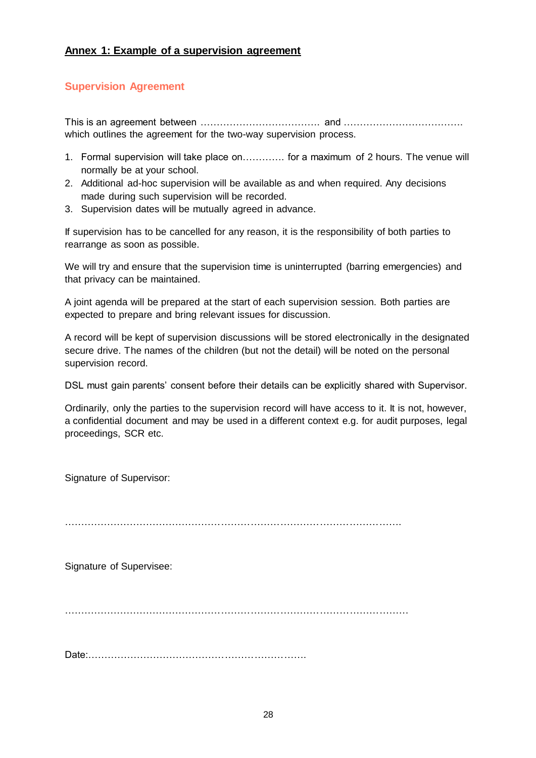## <span id="page-27-0"></span>**Supervision Agreement**

This is an agreement between ………………………………. and ………………………………. which outlines the agreement for the two-way supervision process.

- 1. Formal supervision will take place on…………. for a maximum of 2 hours. The venue will normally be at your school.
- 2. Additional ad-hoc supervision will be available as and when required. Any decisions made during such supervision will be recorded.
- 3. Supervision dates will be mutually agreed in advance.

If supervision has to be cancelled for any reason, it is the responsibility of both parties to rearrange as soon as possible.

We will try and ensure that the supervision time is uninterrupted (barring emergencies) and that privacy can be maintained.

A joint agenda will be prepared at the start of each supervision session. Both parties are expected to prepare and bring relevant issues for discussion.

A record will be kept of supervision discussions will be stored electronically in the designated secure drive. The names of the children (but not the detail) will be noted on the personal supervision record.

DSL must gain parents' consent before their details can be explicitly shared with Supervisor.

Ordinarily, only the parties to the supervision record will have access to it. It is not, however, a confidential document and may be used in a different context e.g. for audit purposes, legal proceedings, SCR etc.

Signature of Supervisor:

………………………………………………………………………………………….

Signature of Supervisee:

……………………………………………………………………………………………

Date:………………………………………………………….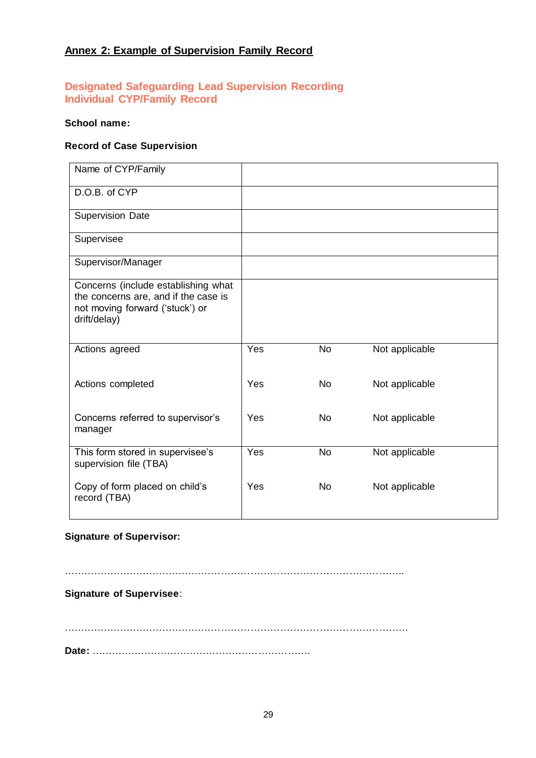## <span id="page-28-0"></span>**Annex 2: Example of Supervision Family Record**

## **Designated Safeguarding Lead Supervision Recording Individual CYP/Family Record**

#### **School name:**

### **Record of Case Supervision**

| Yes | No        | Not applicable |
|-----|-----------|----------------|
| Yes | <b>No</b> | Not applicable |
| Yes | <b>No</b> | Not applicable |
| Yes | <b>No</b> | Not applicable |
| Yes | <b>No</b> | Not applicable |
|     |           |                |

## **Signature of Supervisor:**

…………………………………………………………………………………………..

## **Signature of Supervisee**:

……………………………………………………………………………………………

**Date:** ………………………………………………………….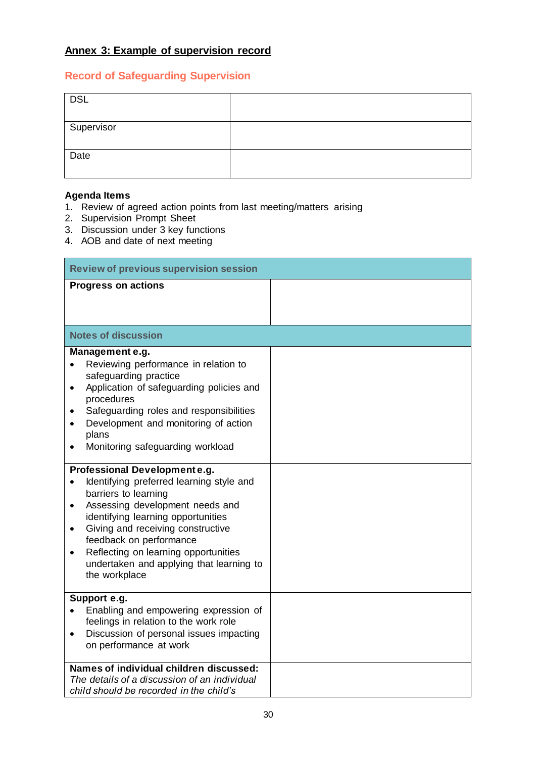## <span id="page-29-0"></span>**Record of Safeguarding Supervision**

| <b>DSL</b> |  |
|------------|--|
| Supervisor |  |
| Date       |  |

## **Agenda Items**

- 1. Review of agreed action points from last meeting/matters arising
- 2. Supervision Prompt Sheet
- 3. Discussion under 3 key functions
- 4. AOB and date of next meeting

| <b>Review of previous supervision session</b>                                                                                                                                                                                                                                                                                                                                                      |  |  |
|----------------------------------------------------------------------------------------------------------------------------------------------------------------------------------------------------------------------------------------------------------------------------------------------------------------------------------------------------------------------------------------------------|--|--|
| <b>Progress on actions</b>                                                                                                                                                                                                                                                                                                                                                                         |  |  |
| <b>Notes of discussion</b>                                                                                                                                                                                                                                                                                                                                                                         |  |  |
| Management e.g.<br>Reviewing performance in relation to<br>safeguarding practice<br>Application of safeguarding policies and<br>$\bullet$<br>procedures<br>Safeguarding roles and responsibilities<br>Development and monitoring of action<br>plans<br>Monitoring safeguarding workload                                                                                                            |  |  |
| Professional Developmente.g.<br>Identifying preferred learning style and<br>$\bullet$<br>barriers to learning<br>Assessing development needs and<br>$\bullet$<br>identifying learning opportunities<br>Giving and receiving constructive<br>$\bullet$<br>feedback on performance<br>Reflecting on learning opportunities<br>$\bullet$<br>undertaken and applying that learning to<br>the workplace |  |  |
| Support e.g.<br>Enabling and empowering expression of<br>feelings in relation to the work role<br>Discussion of personal issues impacting<br>$\bullet$<br>on performance at work                                                                                                                                                                                                                   |  |  |
| Names of individual children discussed:<br>The details of a discussion of an individual<br>child should be recorded in the child's                                                                                                                                                                                                                                                                 |  |  |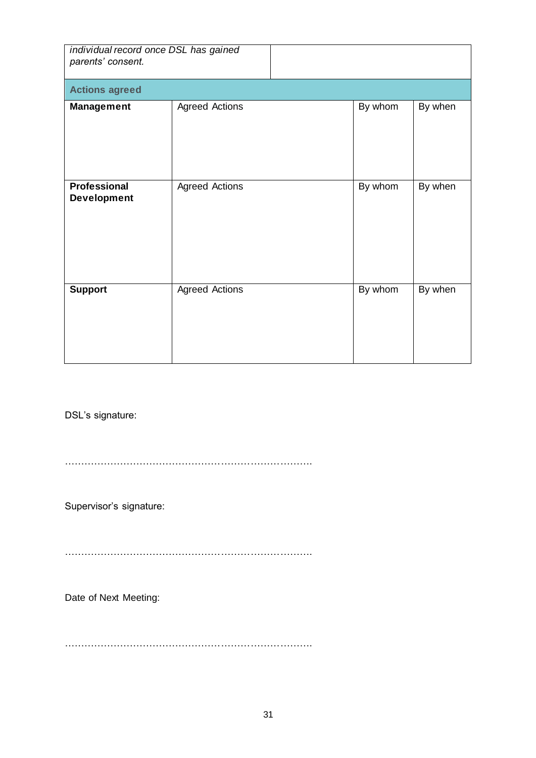| individual record once DSL has gained<br>parents' consent. |                       |         |         |  |
|------------------------------------------------------------|-----------------------|---------|---------|--|
| <b>Actions agreed</b>                                      |                       |         |         |  |
| <b>Management</b>                                          | <b>Agreed Actions</b> | By whom | By when |  |
| <b>Professional</b><br><b>Development</b>                  | <b>Agreed Actions</b> | By whom | By when |  |
| <b>Support</b>                                             | <b>Agreed Actions</b> | By whom | By when |  |

DSL's signature:

………………………………………………………………….

Supervisor's signature:

………………………………………………………………….

Date of Next Meeting:

………………………………………………………………….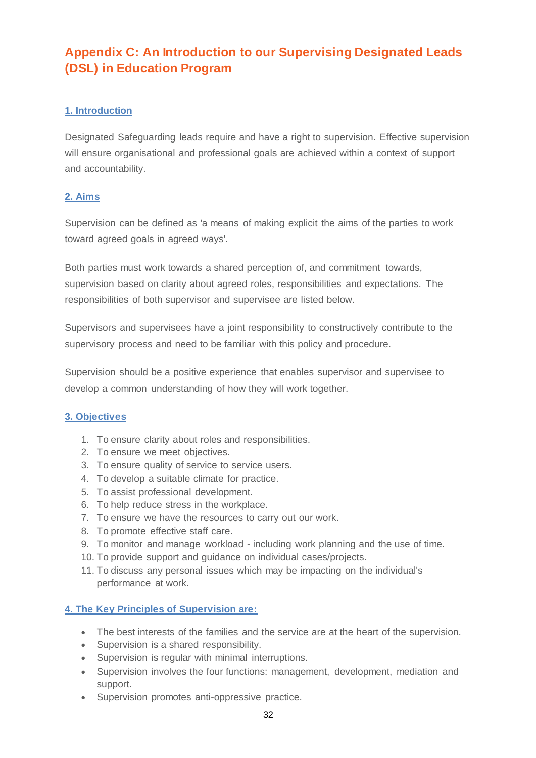## <span id="page-31-0"></span>**Appendix C: An Introduction to our Supervising Designated Leads (DSL) in Education Program**

## **1. Introduction**

Designated Safeguarding leads require and have a right to supervision. Effective supervision will ensure organisational and professional goals are achieved within a context of support and accountability.

## **2. Aims**

Supervision can be defined as 'a means of making explicit the aims of the parties to work toward agreed goals in agreed ways'.

Both parties must work towards a shared perception of, and commitment towards, supervision based on clarity about agreed roles, responsibilities and expectations. The responsibilities of both supervisor and supervisee are listed below.

Supervisors and supervisees have a joint responsibility to constructively contribute to the supervisory process and need to be familiar with this policy and procedure.

Supervision should be a positive experience that enables supervisor and supervisee to develop a common understanding of how they will work together.

## **3. Objectives**

- 1. To ensure clarity about roles and responsibilities.
- 2. To ensure we meet objectives.
- 3. To ensure quality of service to service users.
- 4. To develop a suitable climate for practice.
- 5. To assist professional development.
- 6. To help reduce stress in the workplace.
- 7. To ensure we have the resources to carry out our work.
- 8. To promote effective staff care.
- 9. To monitor and manage workload including work planning and the use of time.
- 10. To provide support and guidance on individual cases/projects.
- 11. To discuss any personal issues which may be impacting on the individual's performance at work.

## **4. The Key Principles of Supervision are:**

- The best interests of the families and the service are at the heart of the supervision.
- Supervision is a shared responsibility.
- Supervision is regular with minimal interruptions.
- Supervision involves the four functions: management, development, mediation and support.
- Supervision promotes anti-oppressive practice.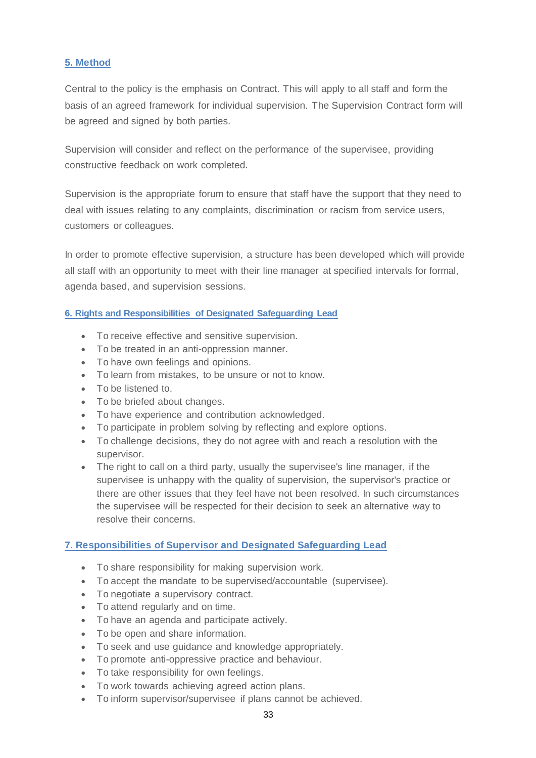## **5. Method**

Central to the policy is the emphasis on Contract. This will apply to all staff and form the basis of an agreed framework for individual supervision. The Supervision Contract form will be agreed and signed by both parties.

Supervision will consider and reflect on the performance of the supervisee, providing constructive feedback on work completed.

Supervision is the appropriate forum to ensure that staff have the support that they need to deal with issues relating to any complaints, discrimination or racism from service users, customers or colleagues.

In order to promote effective supervision, a structure has been developed which will provide all staff with an opportunity to meet with their line manager at specified intervals for formal, agenda based, and supervision sessions.

## **6. Rights and Responsibilities of Designated Safeguarding Lead**

- To receive effective and sensitive supervision.
- To be treated in an anti-oppression manner.
- To have own feelings and opinions.
- To learn from mistakes, to be unsure or not to know.
- To be listened to.
- To be briefed about changes.
- To have experience and contribution acknowledged.
- To participate in problem solving by reflecting and explore options.
- To challenge decisions, they do not agree with and reach a resolution with the supervisor.
- The right to call on a third party, usually the supervisee's line manager, if the supervisee is unhappy with the quality of supervision, the supervisor's practice or there are other issues that they feel have not been resolved. In such circumstances the supervisee will be respected for their decision to seek an alternative way to resolve their concerns.

### **7. Responsibilities of Supervisor and Designated Safeguarding Lead**

- To share responsibility for making supervision work.
- To accept the mandate to be supervised/accountable (supervisee).
- To negotiate a supervisory contract.
- To attend regularly and on time.
- To have an agenda and participate actively.
- To be open and share information.
- To seek and use quidance and knowledge appropriately.
- To promote anti-oppressive practice and behaviour.
- To take responsibility for own feelings.
- To work towards achieving agreed action plans.
- To inform supervisor/supervisee if plans cannot be achieved.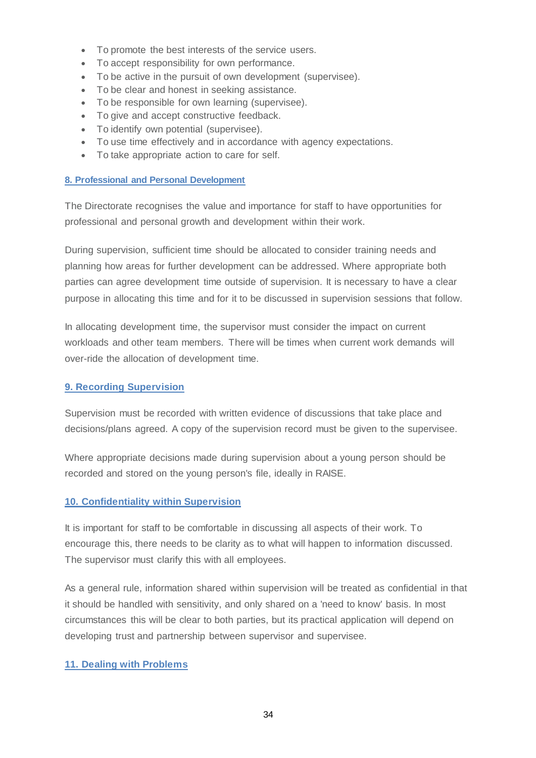- To promote the best interests of the service users.
- To accept responsibility for own performance.
- To be active in the pursuit of own development (supervisee).
- To be clear and honest in seeking assistance.
- To be responsible for own learning (supervisee).
- To give and accept constructive feedback.
- To identify own potential (supervisee).
- To use time effectively and in accordance with agency expectations.
- To take appropriate action to care for self.

### **8. Professional and Personal Development**

The Directorate recognises the value and importance for staff to have opportunities for professional and personal growth and development within their work.

During supervision, sufficient time should be allocated to consider training needs and planning how areas for further development can be addressed. Where appropriate both parties can agree development time outside of supervision. It is necessary to have a clear purpose in allocating this time and for it to be discussed in supervision sessions that follow.

In allocating development time, the supervisor must consider the impact on current workloads and other team members. There will be times when current work demands will over-ride the allocation of development time.

### **9. Recording Supervision**

Supervision must be recorded with written evidence of discussions that take place and decisions/plans agreed. A copy of the supervision record must be given to the supervisee.

Where appropriate decisions made during supervision about a young person should be recorded and stored on the young person's file, ideally in RAISE.

## **10. Confidentiality within Supervision**

It is important for staff to be comfortable in discussing all aspects of their work. To encourage this, there needs to be clarity as to what will happen to information discussed. The supervisor must clarify this with all employees.

As a general rule, information shared within supervision will be treated as confidential in that it should be handled with sensitivity, and only shared on a 'need to know' basis. In most circumstances this will be clear to both parties, but its practical application will depend on developing trust and partnership between supervisor and supervisee.

## **11. Dealing with Problems**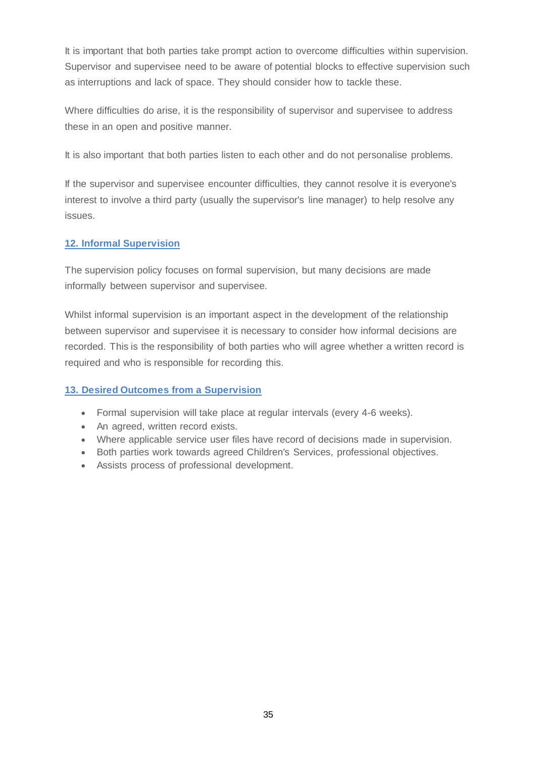It is important that both parties take prompt action to overcome difficulties within supervision. Supervisor and supervisee need to be aware of potential blocks to effective supervision such as interruptions and lack of space. They should consider how to tackle these.

Where difficulties do arise, it is the responsibility of supervisor and supervisee to address these in an open and positive manner.

It is also important that both parties listen to each other and do not personalise problems.

If the supervisor and supervisee encounter difficulties, they cannot resolve it is everyone's interest to involve a third party (usually the supervisor's line manager) to help resolve any issues.

## **12. Informal Supervision**

The supervision policy focuses on formal supervision, but many decisions are made informally between supervisor and supervisee.

Whilst informal supervision is an important aspect in the development of the relationship between supervisor and supervisee it is necessary to consider how informal decisions are recorded. This is the responsibility of both parties who will agree whether a written record is required and who is responsible for recording this.

## **13. Desired Outcomes from a Supervision**

- Formal supervision will take place at regular intervals (every 4-6 weeks).
- An agreed, written record exists.
- Where applicable service user files have record of decisions made in supervision.
- Both parties work towards agreed Children's Services, professional objectives.
- Assists process of professional development.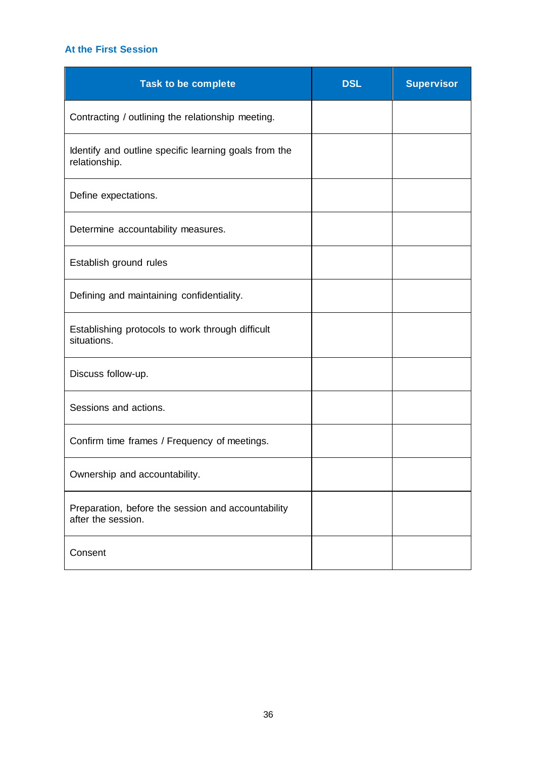## **At the First Session**

| <b>Task to be complete</b>                                               | <b>DSL</b> | <b>Supervisor</b> |
|--------------------------------------------------------------------------|------------|-------------------|
| Contracting / outlining the relationship meeting.                        |            |                   |
| Identify and outline specific learning goals from the<br>relationship.   |            |                   |
| Define expectations.                                                     |            |                   |
| Determine accountability measures.                                       |            |                   |
| Establish ground rules                                                   |            |                   |
| Defining and maintaining confidentiality.                                |            |                   |
| Establishing protocols to work through difficult<br>situations.          |            |                   |
| Discuss follow-up.                                                       |            |                   |
| Sessions and actions.                                                    |            |                   |
| Confirm time frames / Frequency of meetings.                             |            |                   |
| Ownership and accountability.                                            |            |                   |
| Preparation, before the session and accountability<br>after the session. |            |                   |
| Consent                                                                  |            |                   |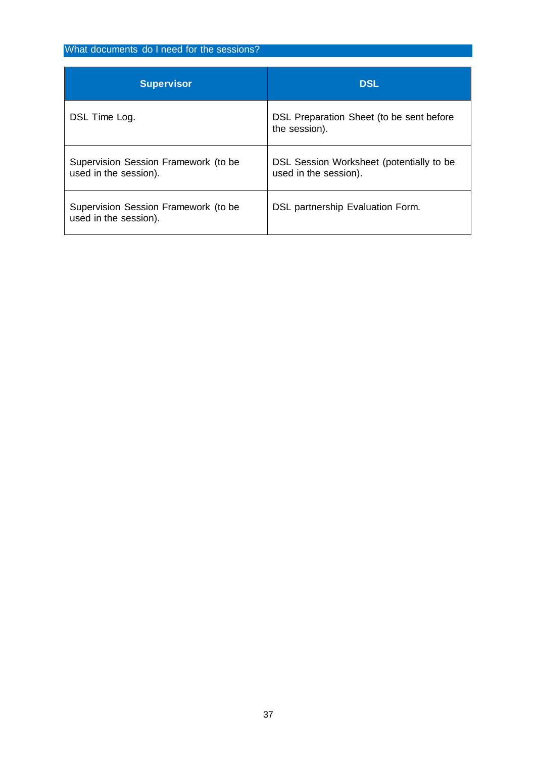## What documents do I need for the sessions?

| <b>Supervisor</b>                                             | <b>DSL</b>                                                        |
|---------------------------------------------------------------|-------------------------------------------------------------------|
| DSL Time Log.                                                 | DSL Preparation Sheet (to be sent before<br>the session).         |
| Supervision Session Framework (to be<br>used in the session). | DSL Session Worksheet (potentially to be<br>used in the session). |
| Supervision Session Framework (to be<br>used in the session). | DSL partnership Evaluation Form.                                  |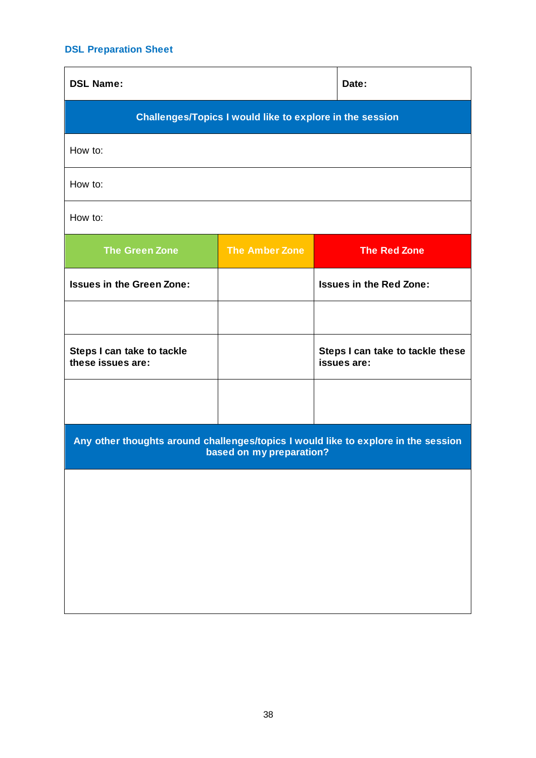## **DSL Preparation Sheet**

| <b>DSL Name:</b>                                                                                               |                       | Date:                                           |
|----------------------------------------------------------------------------------------------------------------|-----------------------|-------------------------------------------------|
| <b>Challenges/Topics I would like to explore in the session</b>                                                |                       |                                                 |
| How to:                                                                                                        |                       |                                                 |
| How to:                                                                                                        |                       |                                                 |
| How to:                                                                                                        |                       |                                                 |
| <b>The Green Zone</b>                                                                                          | <b>The Amber Zone</b> | <b>The Red Zone</b>                             |
| <b>Issues in the Green Zone:</b>                                                                               |                       | <b>Issues in the Red Zone:</b>                  |
|                                                                                                                |                       |                                                 |
| Steps I can take to tackle<br>these issues are:                                                                |                       | Steps I can take to tackle these<br>issues are: |
|                                                                                                                |                       |                                                 |
| Any other thoughts around challenges/topics I would like to explore in the session<br>based on my preparation? |                       |                                                 |
|                                                                                                                |                       |                                                 |
|                                                                                                                |                       |                                                 |
|                                                                                                                |                       |                                                 |
|                                                                                                                |                       |                                                 |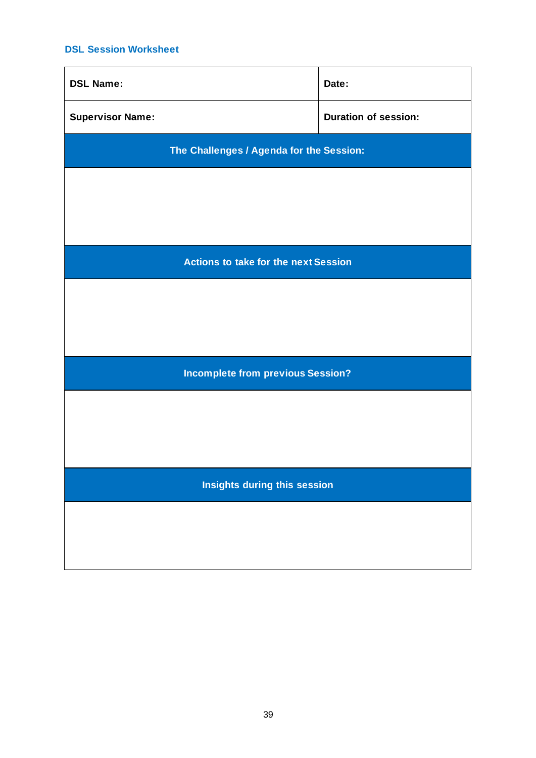## **DSL Session Worksheet**

| <b>DSL Name:</b>                            | Date:                       |
|---------------------------------------------|-----------------------------|
| <b>Supervisor Name:</b>                     | <b>Duration of session:</b> |
| The Challenges / Agenda for the Session:    |                             |
|                                             |                             |
|                                             |                             |
| <b>Actions to take for the next Session</b> |                             |
|                                             |                             |
|                                             |                             |
|                                             |                             |
| <b>Incomplete from previous Session?</b>    |                             |
|                                             |                             |
|                                             |                             |
|                                             |                             |
| Insights during this session                |                             |
|                                             |                             |
|                                             |                             |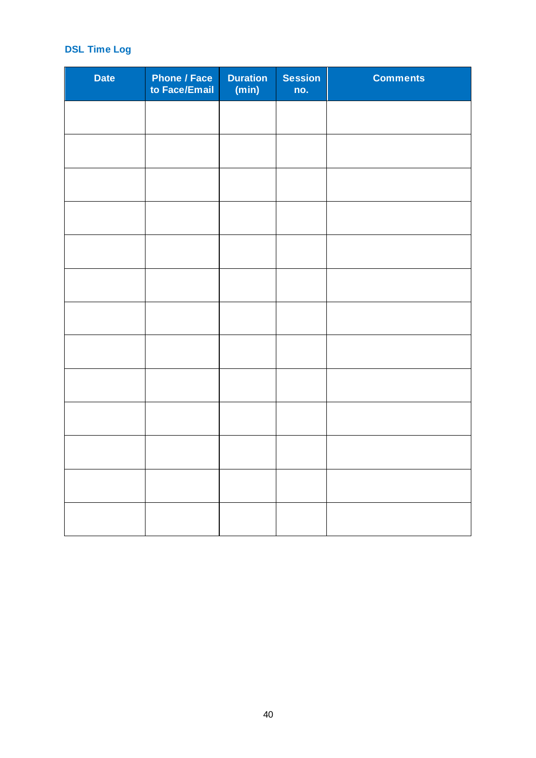## **DSL Time Log**

| <b>Date</b> | <b>Phone / Face</b><br>to Face/Email | Duration<br>(min) | <b>Session</b><br>no. | <b>Comments</b> |
|-------------|--------------------------------------|-------------------|-----------------------|-----------------|
|             |                                      |                   |                       |                 |
|             |                                      |                   |                       |                 |
|             |                                      |                   |                       |                 |
|             |                                      |                   |                       |                 |
|             |                                      |                   |                       |                 |
|             |                                      |                   |                       |                 |
|             |                                      |                   |                       |                 |
|             |                                      |                   |                       |                 |
|             |                                      |                   |                       |                 |
|             |                                      |                   |                       |                 |
|             |                                      |                   |                       |                 |
|             |                                      |                   |                       |                 |
|             |                                      |                   |                       |                 |